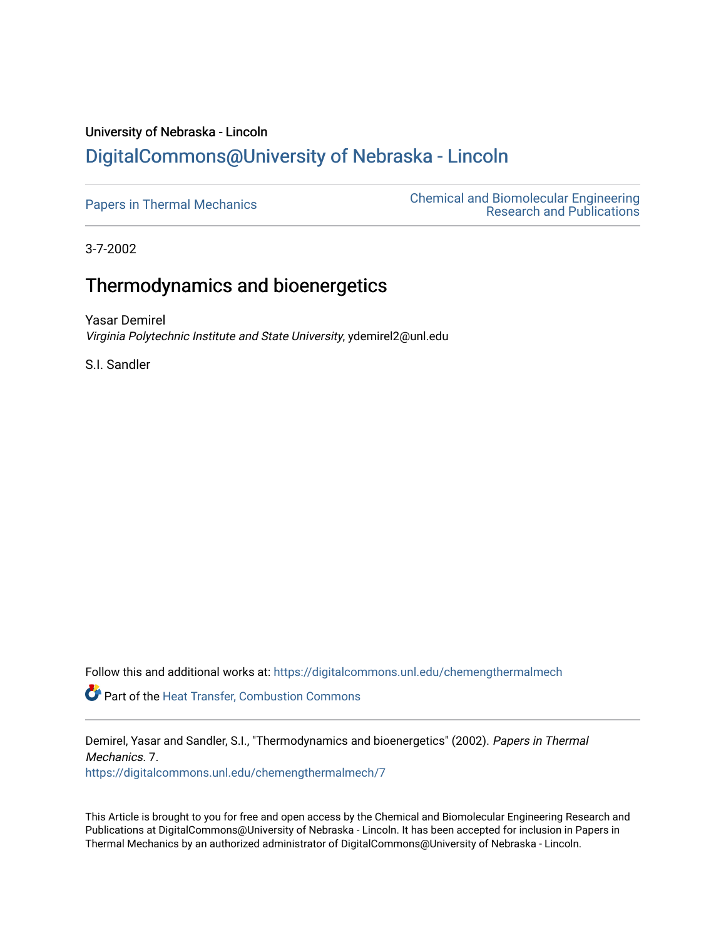# University of Nebraska - Lincoln [DigitalCommons@University of Nebraska - Lincoln](https://digitalcommons.unl.edu/)

[Papers in Thermal Mechanics](https://digitalcommons.unl.edu/chemengthermalmech) [Chemical and Biomolecular Engineering](https://digitalcommons.unl.edu/chemeng_researchpub)  [Research and Publications](https://digitalcommons.unl.edu/chemeng_researchpub) 

3-7-2002

# Thermodynamics and bioenergetics

Yasar Demirel Virginia Polytechnic Institute and State University, ydemirel2@unl.edu

S.I. Sandler

Follow this and additional works at: [https://digitalcommons.unl.edu/chemengthermalmech](https://digitalcommons.unl.edu/chemengthermalmech?utm_source=digitalcommons.unl.edu%2Fchemengthermalmech%2F7&utm_medium=PDF&utm_campaign=PDFCoverPages) 

Part of the [Heat Transfer, Combustion Commons](http://network.bepress.com/hgg/discipline/300?utm_source=digitalcommons.unl.edu%2Fchemengthermalmech%2F7&utm_medium=PDF&utm_campaign=PDFCoverPages)

Demirel, Yasar and Sandler, S.I., "Thermodynamics and bioenergetics" (2002). Papers in Thermal Mechanics. 7.

[https://digitalcommons.unl.edu/chemengthermalmech/7](https://digitalcommons.unl.edu/chemengthermalmech/7?utm_source=digitalcommons.unl.edu%2Fchemengthermalmech%2F7&utm_medium=PDF&utm_campaign=PDFCoverPages) 

This Article is brought to you for free and open access by the Chemical and Biomolecular Engineering Research and Publications at DigitalCommons@University of Nebraska - Lincoln. It has been accepted for inclusion in Papers in Thermal Mechanics by an authorized administrator of DigitalCommons@University of Nebraska - Lincoln.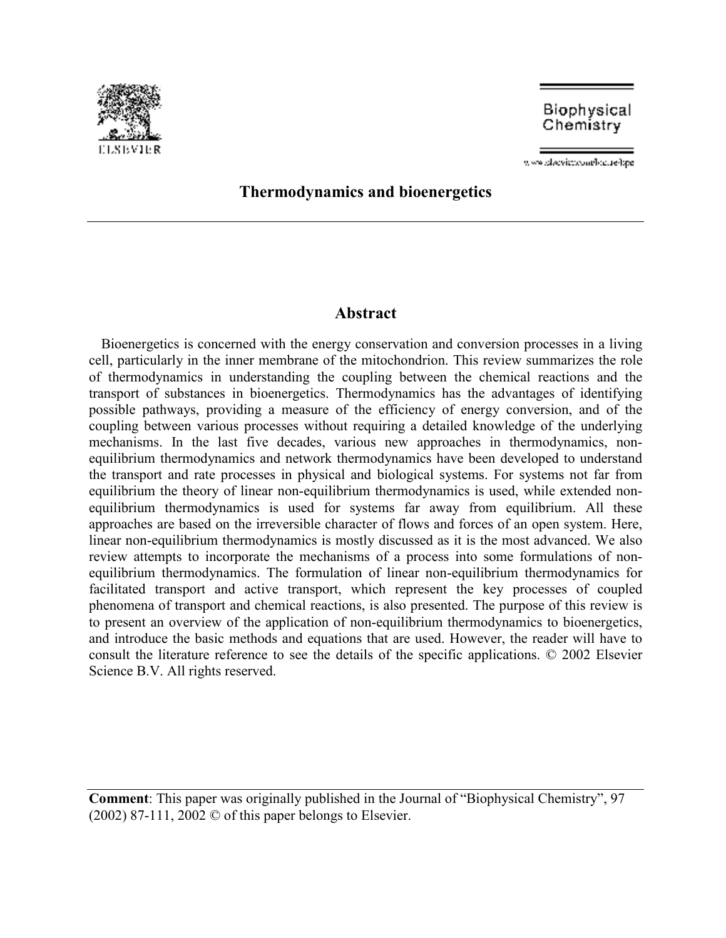

Biophysical Chemistry

www.placvicoconflocate/spe-

# **Thermodynamics and bioenergetics**

# **Abstract**

Bioenergetics is concerned with the energy conservation and conversion processes in a living cell, particularly in the inner membrane of the mitochondrion. This review summarizes the role of thermodynamics in understanding the coupling between the chemical reactions and the transport of substances in bioenergetics. Thermodynamics has the advantages of identifying possible pathways, providing a measure of the efficiency of energy conversion, and of the coupling between various processes without requiring a detailed knowledge of the underlying mechanisms. In the last five decades, various new approaches in thermodynamics, nonequilibrium thermodynamics and network thermodynamics have been developed to understand the transport and rate processes in physical and biological systems. For systems not far from equilibrium the theory of linear non-equilibrium thermodynamics is used, while extended nonequilibrium thermodynamics is used for systems far away from equilibrium. All these approaches are based on the irreversible character of flows and forces of an open system. Here, linear non-equilibrium thermodynamics is mostly discussed as it is the most advanced. We also review attempts to incorporate the mechanisms of a process into some formulations of nonequilibrium thermodynamics. The formulation of linear non-equilibrium thermodynamics for facilitated transport and active transport, which represent the key processes of coupled phenomena of transport and chemical reactions, is also presented. The purpose of this review is to present an overview of the application of non-equilibrium thermodynamics to bioenergetics, and introduce the basic methods and equations that are used. However, the reader will have to consult the literature reference to see the details of the specific applications. © 2002 Elsevier Science B.V. All rights reserved.

**Comment**: This paper was originally published in the Journal of "Biophysical Chemistry", 97  $(2002)$  87-111, 2002  $\odot$  of this paper belongs to Elsevier.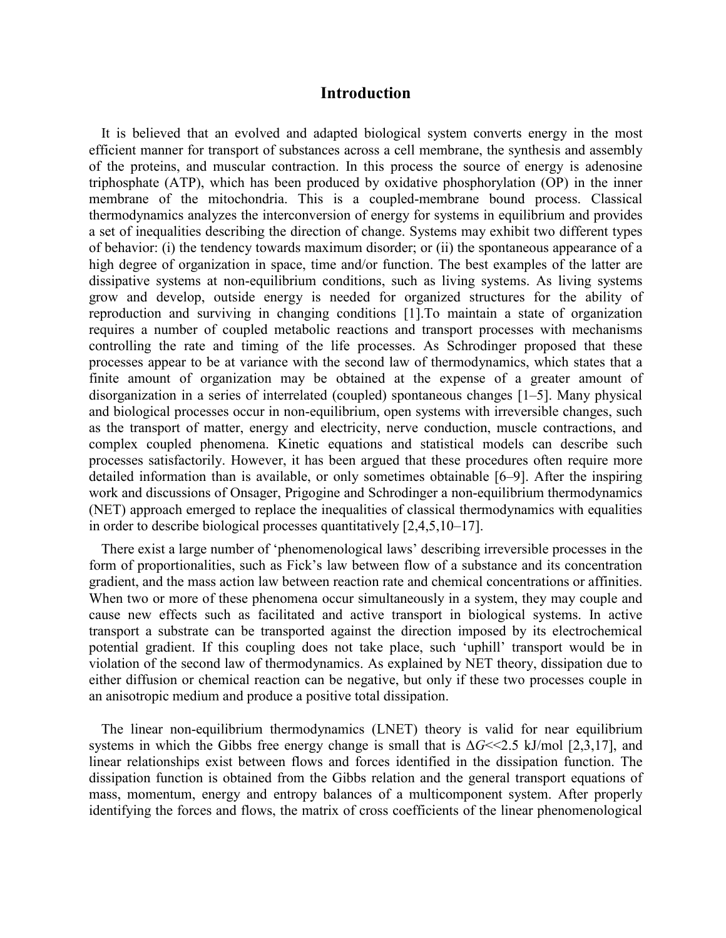# **Introduction**

It is believed that an evolved and adapted biological system converts energy in the most efficient manner for transport of substances across a cell membrane, the synthesis and assembly of the proteins, and muscular contraction. In this process the source of energy is adenosine triphosphate (ATP), which has been produced by oxidative phosphorylation (OP) in the inner membrane of the mitochondria. This is a coupled-membrane bound process. Classical thermodynamics analyzes the interconversion of energy for systems in equilibrium and provides a set of inequalities describing the direction of change. Systems may exhibit two different types of behavior: (i) the tendency towards maximum disorder; or (ii) the spontaneous appearance of a high degree of organization in space, time and/or function. The best examples of the latter are dissipative systems at non-equilibrium conditions, such as living systems. As living systems grow and develop, outside energy is needed for organized structures for the ability of reproduction and surviving in changing conditions [1].To maintain a state of organization requires a number of coupled metabolic reactions and transport processes with mechanisms controlling the rate and timing of the life processes. As Schrodinger proposed that these processes appear to be at variance with the second law of thermodynamics, which states that a finite amount of organization may be obtained at the expense of a greater amount of disorganization in a series of interrelated (coupled) spontaneous changes [1–5]. Many physical and biological processes occur in non-equilibrium, open systems with irreversible changes, such as the transport of matter, energy and electricity, nerve conduction, muscle contractions, and complex coupled phenomena. Kinetic equations and statistical models can describe such processes satisfactorily. However, it has been argued that these procedures often require more detailed information than is available, or only sometimes obtainable [6–9]. After the inspiring work and discussions of Onsager, Prigogine and Schrodinger a non-equilibrium thermodynamics (NET) approach emerged to replace the inequalities of classical thermodynamics with equalities in order to describe biological processes quantitatively [2,4,5,10–17].

There exist a large number of 'phenomenological laws' describing irreversible processes in the form of proportionalities, such as Fick's law between flow of a substance and its concentration gradient, and the mass action law between reaction rate and chemical concentrations or affinities. When two or more of these phenomena occur simultaneously in a system, they may couple and cause new effects such as facilitated and active transport in biological systems. In active transport a substrate can be transported against the direction imposed by its electrochemical potential gradient. If this coupling does not take place, such 'uphill' transport would be in violation of the second law of thermodynamics. As explained by NET theory, dissipation due to either diffusion or chemical reaction can be negative, but only if these two processes couple in an anisotropic medium and produce a positive total dissipation.

The linear non-equilibrium thermodynamics (LNET) theory is valid for near equilibrium systems in which the Gibbs free energy change is small that is  $\Delta G \ll 2.5$  kJ/mol [2,3,17], and linear relationships exist between flows and forces identified in the dissipation function. The dissipation function is obtained from the Gibbs relation and the general transport equations of mass, momentum, energy and entropy balances of a multicomponent system. After properly identifying the forces and flows, the matrix of cross coefficients of the linear phenomenological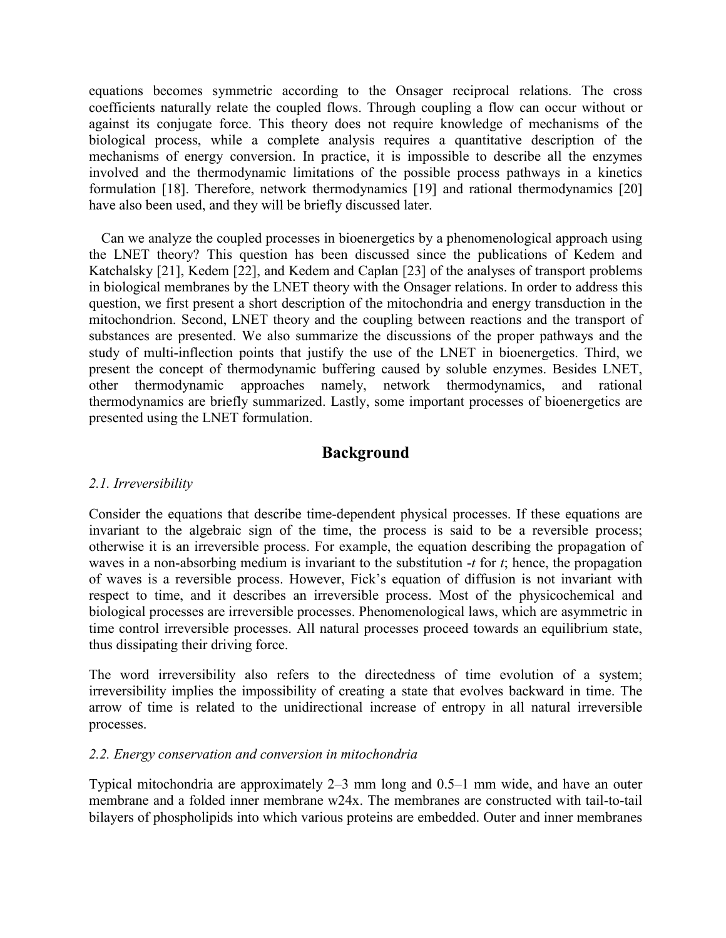equations becomes symmetric according to the Onsager reciprocal relations. The cross coefficients naturally relate the coupled flows. Through coupling a flow can occur without or against its conjugate force. This theory does not require knowledge of mechanisms of the biological process, while a complete analysis requires a quantitative description of the mechanisms of energy conversion. In practice, it is impossible to describe all the enzymes involved and the thermodynamic limitations of the possible process pathways in a kinetics formulation [18]. Therefore, network thermodynamics [19] and rational thermodynamics [20] have also been used, and they will be briefly discussed later.

Can we analyze the coupled processes in bioenergetics by a phenomenological approach using the LNET theory? This question has been discussed since the publications of Kedem and Katchalsky [21], Kedem [22], and Kedem and Caplan [23] of the analyses of transport problems in biological membranes by the LNET theory with the Onsager relations. In order to address this question, we first present a short description of the mitochondria and energy transduction in the mitochondrion. Second, LNET theory and the coupling between reactions and the transport of substances are presented. We also summarize the discussions of the proper pathways and the study of multi-inflection points that justify the use of the LNET in bioenergetics. Third, we present the concept of thermodynamic buffering caused by soluble enzymes. Besides LNET, other thermodynamic approaches namely, network thermodynamics, and rational thermodynamics are briefly summarized. Lastly, some important processes of bioenergetics are presented using the LNET formulation.

# **Background**

# *2.1. Irreversibility*

Consider the equations that describe time-dependent physical processes. If these equations are invariant to the algebraic sign of the time, the process is said to be a reversible process; otherwise it is an irreversible process. For example, the equation describing the propagation of waves in a non-absorbing medium is invariant to the substitution -*t* for *t*; hence, the propagation of waves is a reversible process. However, Fick's equation of diffusion is not invariant with respect to time, and it describes an irreversible process. Most of the physicochemical and biological processes are irreversible processes. Phenomenological laws, which are asymmetric in time control irreversible processes. All natural processes proceed towards an equilibrium state, thus dissipating their driving force.

The word irreversibility also refers to the directedness of time evolution of a system; irreversibility implies the impossibility of creating a state that evolves backward in time. The arrow of time is related to the unidirectional increase of entropy in all natural irreversible processes.

# *2.2. Energy conservation and conversion in mitochondria*

Typical mitochondria are approximately 2–3 mm long and 0.5–1 mm wide, and have an outer membrane and a folded inner membrane w24x. The membranes are constructed with tail-to-tail bilayers of phospholipids into which various proteins are embedded. Outer and inner membranes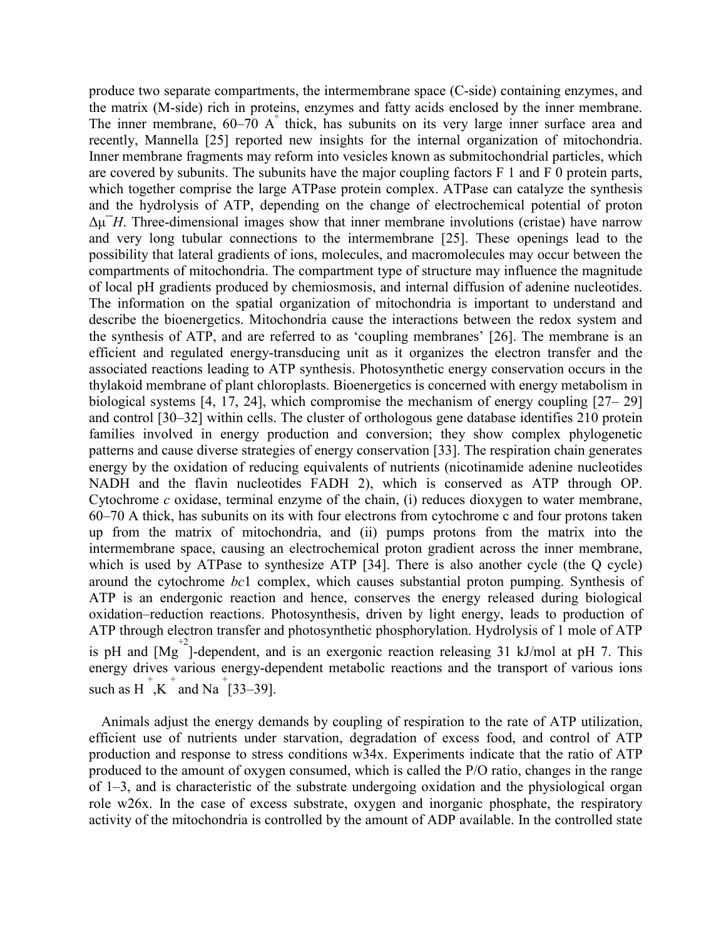produce two separate compartments, the intermembrane space (C-side) containing enzymes, and the matrix (M-side) rich in proteins, enzymes and fatty acids enclosed by the inner membrane. The inner membrane, 60–70 A° thick, has subunits on its very large inner surface area and recently, Mannella [25] reported new insights for the internal organization of mitochondria. Inner membrane fragments may reform into vesicles known as submitochondrial particles, which are covered by subunits. The subunits have the major coupling factors F 1 and F 0 protein parts, which together comprise the large ATPase protein complex. ATPase can catalyze the synthesis and the hydrolysis of ATP, depending on the change of electrochemical potential of proton  $\Delta \mu$ <sup>-</sup>*H*. Three-dimensional images show that inner membrane involutions (cristae) have narrow and very long tubular connections to the intermembrane [25]. These openings lead to the possibility that lateral gradients of ions, molecules, and macromolecules may occur between the compartments of mitochondria. The compartment type of structure may influence the magnitude of local pH gradients produced by chemiosmosis, and internal diffusion of adenine nucleotides. The information on the spatial organization of mitochondria is important to understand and describe the bioenergetics. Mitochondria cause the interactions between the redox system and the synthesis of ATP, and are referred to as 'coupling membranes' [26]. The membrane is an efficient and regulated energy-transducing unit as it organizes the electron transfer and the associated reactions leading to ATP synthesis. Photosynthetic energy conservation occurs in the thylakoid membrane of plant chloroplasts. Bioenergetics is concerned with energy metabolism in biological systems [4, 17, 24], which compromise the mechanism of energy coupling [27– 29] and control [30–32] within cells. The cluster of orthologous gene database identifies 210 protein families involved in energy production and conversion; they show complex phylogenetic patterns and cause diverse strategies of energy conservation [33]. The respiration chain generates energy by the oxidation of reducing equivalents of nutrients (nicotinamide adenine nucleotides NADH and the flavin nucleotides FADH 2), which is conserved as ATP through OP. Cytochrome *c* oxidase, terminal enzyme of the chain, (i) reduces dioxygen to water membrane, 60–70 A thick, has subunits on its with four electrons from cytochrome c and four protons taken up from the matrix of mitochondria, and (ii) pumps protons from the matrix into the intermembrane space, causing an electrochemical proton gradient across the inner membrane, which is used by ATPase to synthesize ATP [34]. There is also another cycle (the Q cycle) around the cytochrome *bc*1 complex, which causes substantial proton pumping. Synthesis of ATP is an endergonic reaction and hence, conserves the energy released during biological oxidation–reduction reactions. Photosynthesis, driven by light energy, leads to production of ATP through electron transfer and photosynthetic phosphorylation. Hydrolysis of 1 mole of ATP is pH and  $[Mg^{\pm 2}]$ -dependent, and is an exergonic reaction releasing 31 kJ/mol at pH 7. This energy drives various energy-dependent metabolic reactions and the transport of various ions such as H<sup>+</sup>,K<sup>+</sup> and Na<sup>+</sup>[33–39].

Animals adjust the energy demands by coupling of respiration to the rate of ATP utilization, efficient use of nutrients under starvation, degradation of excess food, and control of ATP production and response to stress conditions w34x. Experiments indicate that the ratio of ATP produced to the amount of oxygen consumed, which is called the P/O ratio, changes in the range of 1–3, and is characteristic of the substrate undergoing oxidation and the physiological organ role w26x. In the case of excess substrate, oxygen and inorganic phosphate, the respiratory activity of the mitochondria is controlled by the amount of ADP available. In the controlled state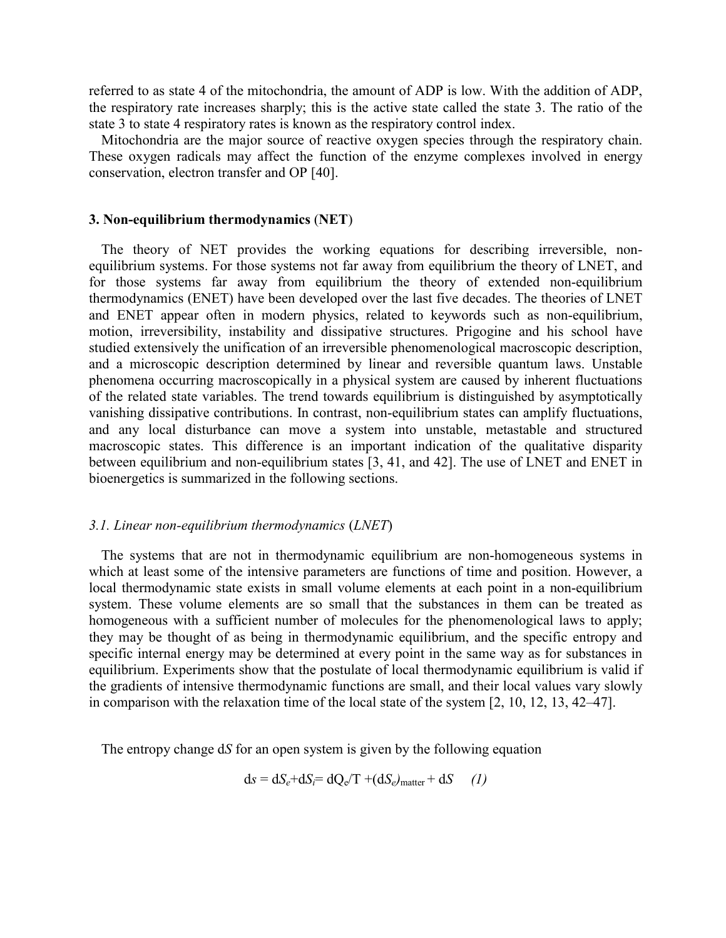referred to as state 4 of the mitochondria, the amount of ADP is low. With the addition of ADP, the respiratory rate increases sharply; this is the active state called the state 3. The ratio of the state 3 to state 4 respiratory rates is known as the respiratory control index.

Mitochondria are the major source of reactive oxygen species through the respiratory chain. These oxygen radicals may affect the function of the enzyme complexes involved in energy conservation, electron transfer and OP [40].

#### **3. Non-equilibrium thermodynamics** (**NET**)

The theory of NET provides the working equations for describing irreversible, nonequilibrium systems. For those systems not far away from equilibrium the theory of LNET, and for those systems far away from equilibrium the theory of extended non-equilibrium thermodynamics (ENET) have been developed over the last five decades. The theories of LNET and ENET appear often in modern physics, related to keywords such as non-equilibrium, motion, irreversibility, instability and dissipative structures. Prigogine and his school have studied extensively the unification of an irreversible phenomenological macroscopic description, and a microscopic description determined by linear and reversible quantum laws. Unstable phenomena occurring macroscopically in a physical system are caused by inherent fluctuations of the related state variables. The trend towards equilibrium is distinguished by asymptotically vanishing dissipative contributions. In contrast, non-equilibrium states can amplify fluctuations, and any local disturbance can move a system into unstable, metastable and structured macroscopic states. This difference is an important indication of the qualitative disparity between equilibrium and non-equilibrium states [3, 41, and 42]. The use of LNET and ENET in bioenergetics is summarized in the following sections.

#### *3.1. Linear non-equilibrium thermodynamics* (*LNET*)

The systems that are not in thermodynamic equilibrium are non-homogeneous systems in which at least some of the intensive parameters are functions of time and position. However, a local thermodynamic state exists in small volume elements at each point in a non-equilibrium system. These volume elements are so small that the substances in them can be treated as homogeneous with a sufficient number of molecules for the phenomenological laws to apply; they may be thought of as being in thermodynamic equilibrium, and the specific entropy and specific internal energy may be determined at every point in the same way as for substances in equilibrium. Experiments show that the postulate of local thermodynamic equilibrium is valid if the gradients of intensive thermodynamic functions are small, and their local values vary slowly in comparison with the relaxation time of the local state of the system [2, 10, 12, 13, 42–47].

The entropy change d*S* for an open system is given by the following equation

$$
ds = dS_e + dS_i = dQ_e/T + (dS_e)_{matter} + dS \qquad (1)
$$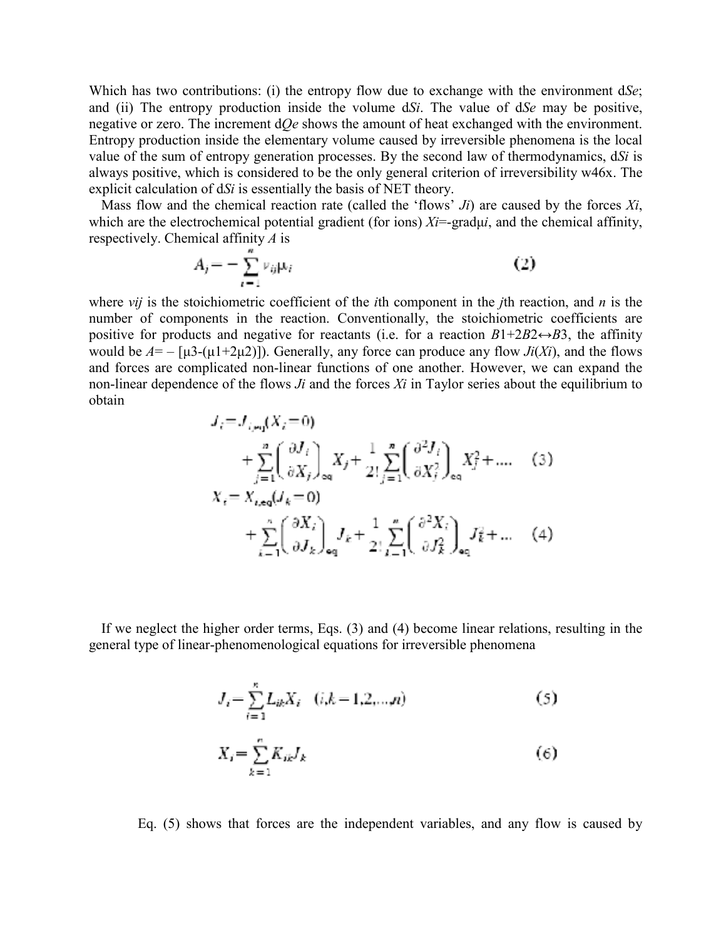Which has two contributions: (i) the entropy flow due to exchange with the environment d*Se*; and (ii) The entropy production inside the volume d*Si*. The value of d*Se* may be positive, negative or zero. The increment d*Qe* shows the amount of heat exchanged with the environment. Entropy production inside the elementary volume caused by irreversible phenomena is the local value of the sum of entropy generation processes. By the second law of thermodynamics, d*Si* is always positive, which is considered to be the only general criterion of irreversibility w46x. The explicit calculation of d*Si* is essentially the basis of NET theory.

Mass flow and the chemical reaction rate (called the 'flows' *Ji*) are caused by the forces *Xi*, which are the electrochemical potential gradient (for ions)  $Xi$ =grad $\mu i$ , and the chemical affinity, respectively. Chemical affinity *A* is

$$
A_j = -\sum_{i=1}^{n} \nu_{ij} \mu_i \tag{2}
$$

where *vij* is the stoichiometric coefficient of the *i*th component in the *j*th reaction, and *n* is the number of components in the reaction. Conventionally, the stoichiometric coefficients are positive for products and negative for reactants (i.e. for a reaction  $B1+2B2 \leftrightarrow B3$ , the affinity would be  $A = -[\mu 3-(\mu 1+2\mu 2)]$ . Generally, any force can produce any flow *Ji(Xi)*, and the flows and forces are complicated non-linear functions of one another. However, we can expand the non-linear dependence of the flows *Ji* and the forces *Xi* in Taylor series about the equilibrium to obtain

$$
J_{i} = J_{i,m} (X_{i} = 0)
$$
  
+  $\sum_{j=1}^{n} \left( \frac{\partial J_{i}}{\partial X_{j}} \right)_{\text{eq}} X_{j} + \frac{1}{2!} \sum_{j=1}^{n} \left( \frac{\partial^{2} J_{i}}{\partial X_{j}^{2}} \right)_{\text{eq}} X_{j}^{2} + \dots$  (3)  

$$
X_{i} = X_{i,\text{eq}} (J_{k} = 0)
$$
  
+  $\sum_{k=1}^{n} \left( \frac{\partial X_{i}}{\partial J_{k}} \right)_{\text{eq}} J_{k} + \frac{1}{2!} \sum_{k=1}^{n} \left( \frac{\partial^{2} X_{i}}{\partial J_{k}^{2}} \right)_{\text{eq}} J_{k}^{2} + \dots$  (4)

If we neglect the higher order terms, Eqs. (3) and (4) become linear relations, resulting in the general type of linear-phenomenological equations for irreversible phenomena

$$
J_i = \sum_{i=1}^{n} L_{ik} X_i \quad (i,k = 1,2,...,n)
$$
 (5)

$$
X_i = \sum_{k=1}^n K_{ik} J_k \tag{6}
$$

Eq. (5) shows that forces are the independent variables, and any flow is caused by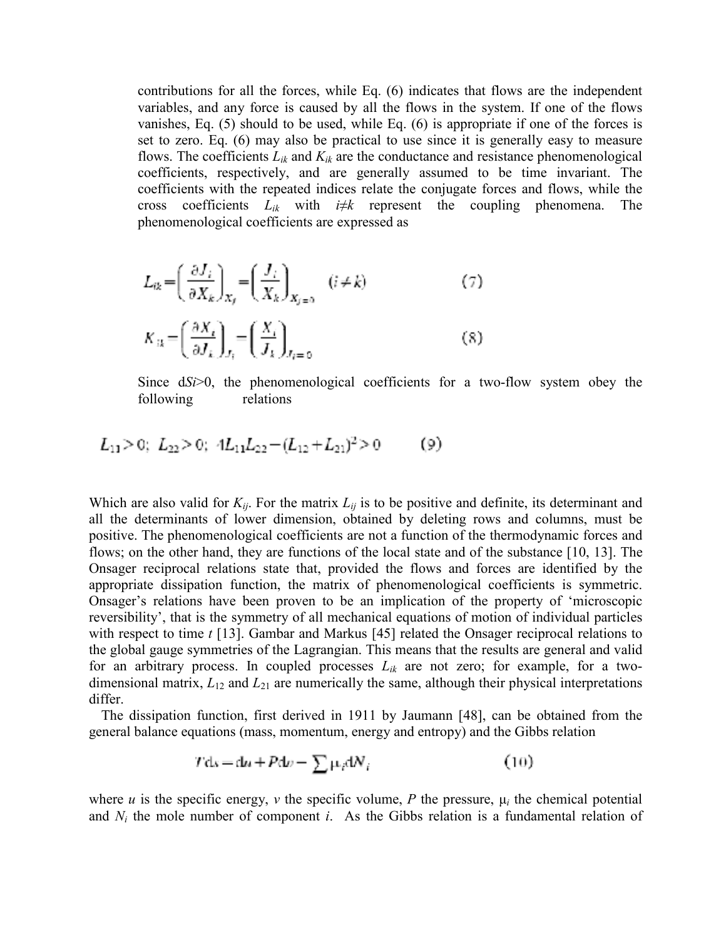contributions for all the forces, while Eq. (6) indicates that flows are the independent variables, and any force is caused by all the flows in the system. If one of the flows vanishes, Eq. (5) should to be used, while Eq. (6) is appropriate if one of the forces is set to zero. Eq. (6) may also be practical to use since it is generally easy to measure flows. The coefficients  $L_{ik}$  and  $K_{ik}$  are the conductance and resistance phenomenological coefficients, respectively, and are generally assumed to be time invariant. The coefficients with the repeated indices relate the conjugate forces and flows, while the cross coefficients  $L_{ik}$  with  $i \neq k$  represent the coupling phenomena. The phenomenological coefficients are expressed as

$$
L_{ik} = \left(\frac{\partial J_i}{\partial X_k}\right)_{X_j} = \left(\frac{J_i}{X_k}\right)_{X_{j=0}} \quad (i \neq k)
$$
  
\n
$$
K_{ik} = \left(\frac{\partial X_i}{\partial J_k}\right)_{J_i} = \left(\frac{X_i}{J_k}\right)_{J_{i=0}}
$$
 (8)

Since  $dSi > 0$ , the phenomenological coefficients for a two-flow system obey the following relations

$$
L_{11} > 0; L_{22} > 0; 4L_{11}L_{22} - (L_{12} + L_{21})^2 > 0 \tag{9}
$$

Which are also valid for  $K_{ij}$ . For the matrix  $L_{ij}$  is to be positive and definite, its determinant and all the determinants of lower dimension, obtained by deleting rows and columns, must be positive. The phenomenological coefficients are not a function of the thermodynamic forces and flows; on the other hand, they are functions of the local state and of the substance [10, 13]. The Onsager reciprocal relations state that, provided the flows and forces are identified by the appropriate dissipation function, the matrix of phenomenological coefficients is symmetric. Onsager's relations have been proven to be an implication of the property of 'microscopic reversibility', that is the symmetry of all mechanical equations of motion of individual particles with respect to time *t* [13]. Gambar and Markus [45] related the Onsager reciprocal relations to the global gauge symmetries of the Lagrangian. This means that the results are general and valid for an arbitrary process. In coupled processes  $L_{ik}$  are not zero; for example, for a twodimensional matrix, *L*12 and *L*21 are numerically the same, although their physical interpretations differ.

The dissipation function, first derived in 1911 by Jaumann [48], can be obtained from the general balance equations (mass, momentum, energy and entropy) and the Gibbs relation

$$
Tdx = du + Pdv - \sum \mu_i dN_i \tag{10}
$$

where *u* is the specific energy, *v* the specific volume, *P* the pressure,  $\mu_i$  the chemical potential and  $N_i$  the mole number of component  $i$ . As the Gibbs relation is a fundamental relation of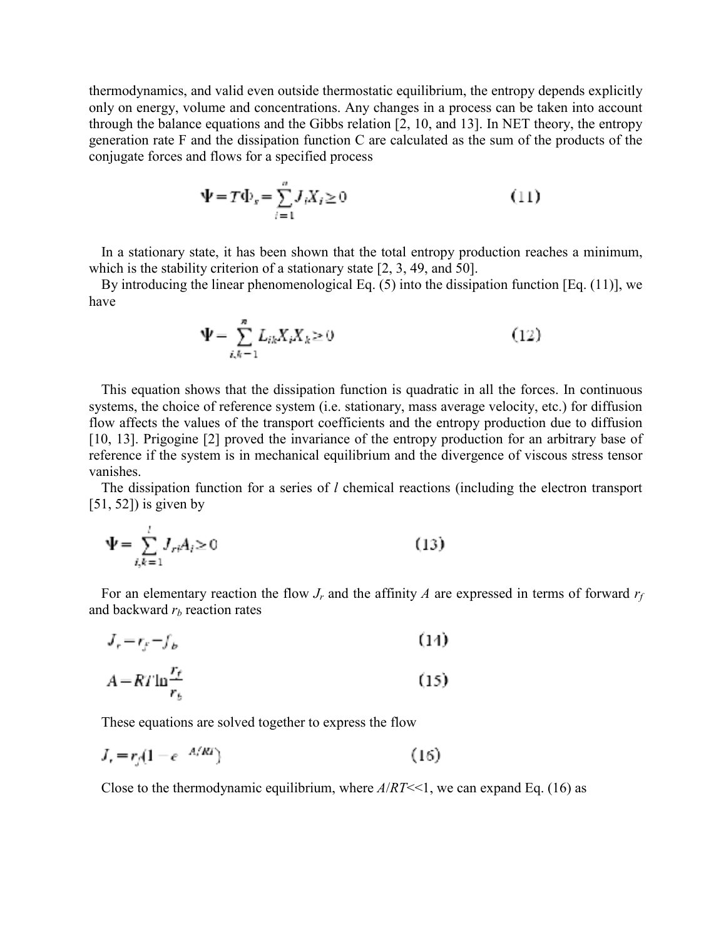thermodynamics, and valid even outside thermostatic equilibrium, the entropy depends explicitly only on energy, volume and concentrations. Any changes in a process can be taken into account through the balance equations and the Gibbs relation [2, 10, and 13]. In NET theory, the entropy generation rate F and the dissipation function C are calculated as the sum of the products of the conjugate forces and flows for a specified process

$$
\Psi = T\Phi_s = \sum_{i=1}^{n} J_i X_i \ge 0
$$
\n(11)

In a stationary state, it has been shown that the total entropy production reaches a minimum, which is the stability criterion of a stationary state [2, 3, 49, and 50].

By introducing the linear phenomenological Eq. (5) into the dissipation function [Eq. (11)], we have

$$
\Psi = \sum_{i,k=1}^{n} L_{ik} X_i X_k \ge 0
$$
\n(12)

This equation shows that the dissipation function is quadratic in all the forces. In continuous systems, the choice of reference system (i.e. stationary, mass average velocity, etc.) for diffusion flow affects the values of the transport coefficients and the entropy production due to diffusion [10, 13]. Prigogine [2] proved the invariance of the entropy production for an arbitrary base of reference if the system is in mechanical equilibrium and the divergence of viscous stress tensor vanishes.

The dissipation function for a series of *l* chemical reactions (including the electron transport  $[51, 52]$ ) is given by

$$
\Psi = \sum_{i,k=1}^{i} J_{ri} A_i \ge 0
$$
\n(13)

For an elementary reaction the flow  $J_r$  and the affinity A are expressed in terms of forward  $r_f$ and backward  $r<sub>b</sub>$  reaction rates

$$
J_r = r_f - f_b \tag{14}
$$

$$
A = RT \ln \frac{r_f}{r_b} \tag{15}
$$

These equations are solved together to express the flow

$$
J_r = r_f (1 - e^{-A/Rt}) \tag{16}
$$

Close to the thermodynamic equilibrium, where *A*/*RT*<<1, we can expand Eq. (16) as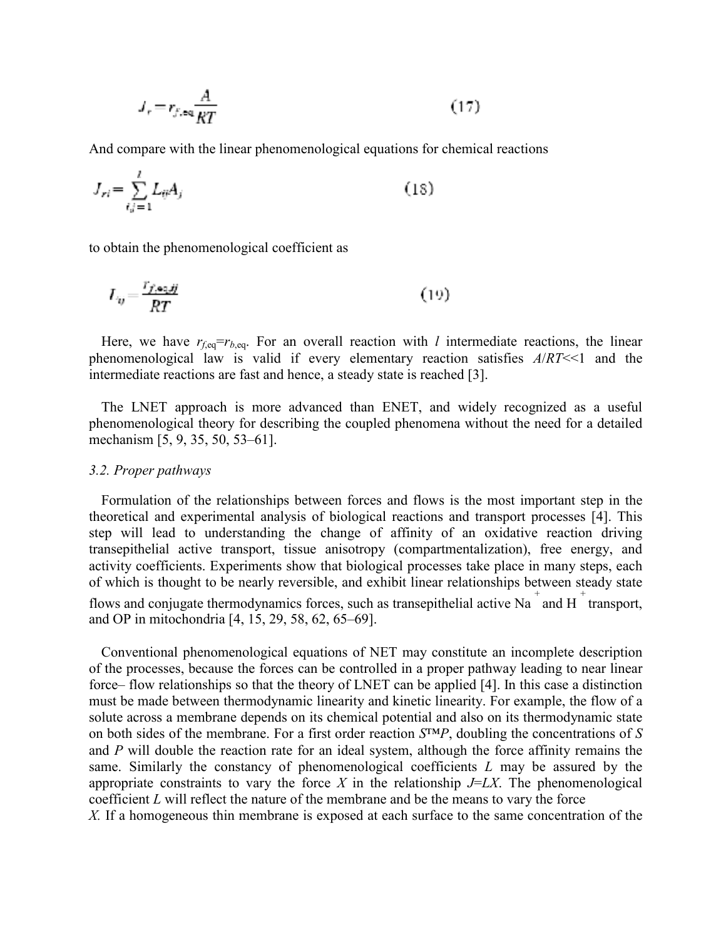$$
J_r = r_{f,\text{eq}} \frac{A}{RT} \tag{17}
$$

And compare with the linear phenomenological equations for chemical reactions

$$
J_{ri} = \sum_{i,j=1}^{l} L_{ij} A_j \tag{18}
$$

to obtain the phenomenological coefficient as

$$
L_y = \frac{r_{f,\text{eq},jj}}{RT} \tag{19}
$$

Here, we have  $r_{f,eq}=r_{b,eq}$ . For an overall reaction with *l* intermediate reactions, the linear phenomenological law is valid if every elementary reaction satisfies *A*/*RT*<<1 and the intermediate reactions are fast and hence, a steady state is reached [3].

The LNET approach is more advanced than ENET, and widely recognized as a useful phenomenological theory for describing the coupled phenomena without the need for a detailed mechanism [5, 9, 35, 50, 53–61].

#### *3.2. Proper pathways*

Formulation of the relationships between forces and flows is the most important step in the theoretical and experimental analysis of biological reactions and transport processes [4]. This step will lead to understanding the change of affinity of an oxidative reaction driving transepithelial active transport, tissue anisotropy (compartmentalization), free energy, and activity coefficients. Experiments show that biological processes take place in many steps, each of which is thought to be nearly reversible, and exhibit linear relationships between steady state flows and conjugate thermodynamics forces, such as transepithelial active Na  $^{+}$  and H  $^{+}$  transport, and OP in mitochondria [4, 15, 29, 58, 62, 65–69].

Conventional phenomenological equations of NET may constitute an incomplete description of the processes, because the forces can be controlled in a proper pathway leading to near linear force– flow relationships so that the theory of LNET can be applied [4]. In this case a distinction must be made between thermodynamic linearity and kinetic linearity. For example, the flow of a solute across a membrane depends on its chemical potential and also on its thermodynamic state on both sides of the membrane. For a first order reaction *S*™*P*, doubling the concentrations of *S* and *P* will double the reaction rate for an ideal system, although the force affinity remains the same. Similarly the constancy of phenomenological coefficients *L* may be assured by the appropriate constraints to vary the force  $X$  in the relationship  $J=LY$ . The phenomenological coefficient *L* will reflect the nature of the membrane and be the means to vary the force

*X.* If a homogeneous thin membrane is exposed at each surface to the same concentration of the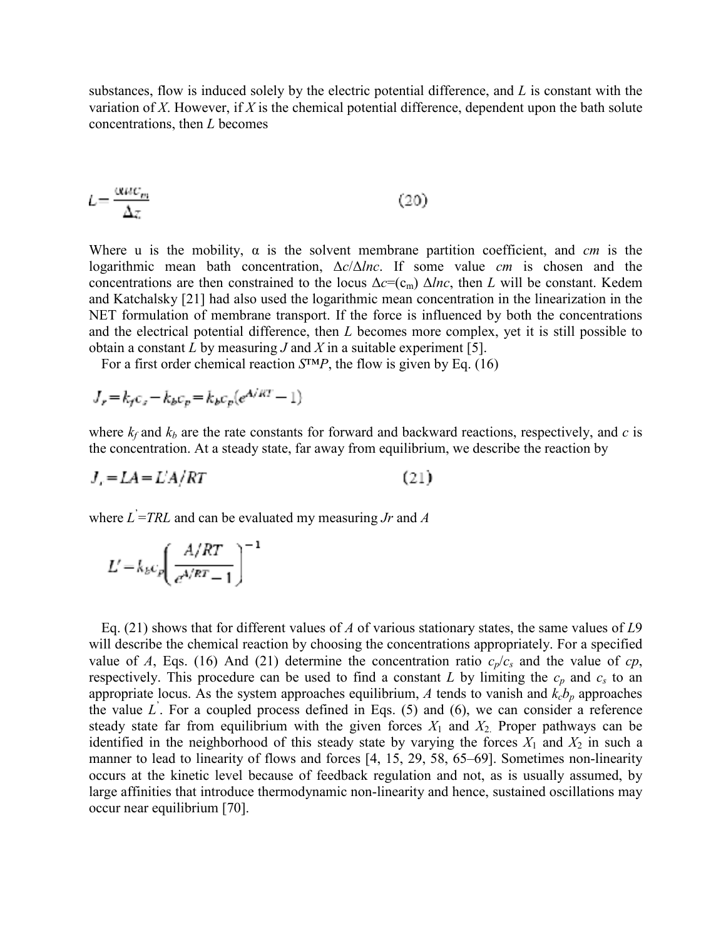substances, flow is induced solely by the electric potential difference, and *L* is constant with the variation of *X*. However, if *X* is the chemical potential difference, dependent upon the bath solute concentrations, then *L* becomes

$$
L = \frac{\alpha u c_m}{\Delta z} \tag{20}
$$

Where u is the mobility,  $\alpha$  is the solvent membrane partition coefficient, and *cm* is the logarithmic mean bath concentration,  $\Delta c/\Delta Inc$ . If some value *cm* is chosen and the concentrations are then constrained to the locus  $\Delta c = (c_m) \Delta ln c$ , then *L* will be constant. Kedem and Katchalsky [21] had also used the logarithmic mean concentration in the linearization in the NET formulation of membrane transport. If the force is influenced by both the concentrations and the electrical potential difference, then *L* becomes more complex, yet it is still possible to obtain a constant *L* by measuring *J* and *X* in a suitable experiment [5].

For a first order chemical reaction *S*™*P*, the flow is given by Eq. (16)

$$
J_r = k_f c_s - k_b c_p = k_b c_p (e^{A/RT} - 1)
$$

where  $k_f$  and  $k_b$  are the rate constants for forward and backward reactions, respectively, and  $c$  is the concentration. At a steady state, far away from equilibrium, we describe the reaction by

$$
J_r = LA = L'A/RT \tag{21}
$$

where *L*' =*TRL* and can be evaluated my measuring *Jr* and *A*

$$
L' = k_b c_p \left(\frac{A/RT}{e^{A/RT} - 1}\right)^{-1}
$$

Eq. (21) shows that for different values of *A* of various stationary states, the same values of *L*9 will describe the chemical reaction by choosing the concentrations appropriately. For a specified value of *A*, Eqs. (16) And (21) determine the concentration ratio  $c_p/c_s$  and the value of *cp*, respectively. This procedure can be used to find a constant  $L$  by limiting the  $c_p$  and  $c_s$  to an appropriate locus. As the system approaches equilibrium,  $A$  tends to vanish and  $k_c b_p$  approaches the value  $L$ . For a coupled process defined in Eqs. (5) and (6), we can consider a reference steady state far from equilibrium with the given forces  $X_1$  and  $X_2$ . Proper pathways can be identified in the neighborhood of this steady state by varying the forces  $X_1$  and  $X_2$  in such a manner to lead to linearity of flows and forces [4, 15, 29, 58, 65–69]. Sometimes non-linearity occurs at the kinetic level because of feedback regulation and not, as is usually assumed, by large affinities that introduce thermodynamic non-linearity and hence, sustained oscillations may occur near equilibrium [70].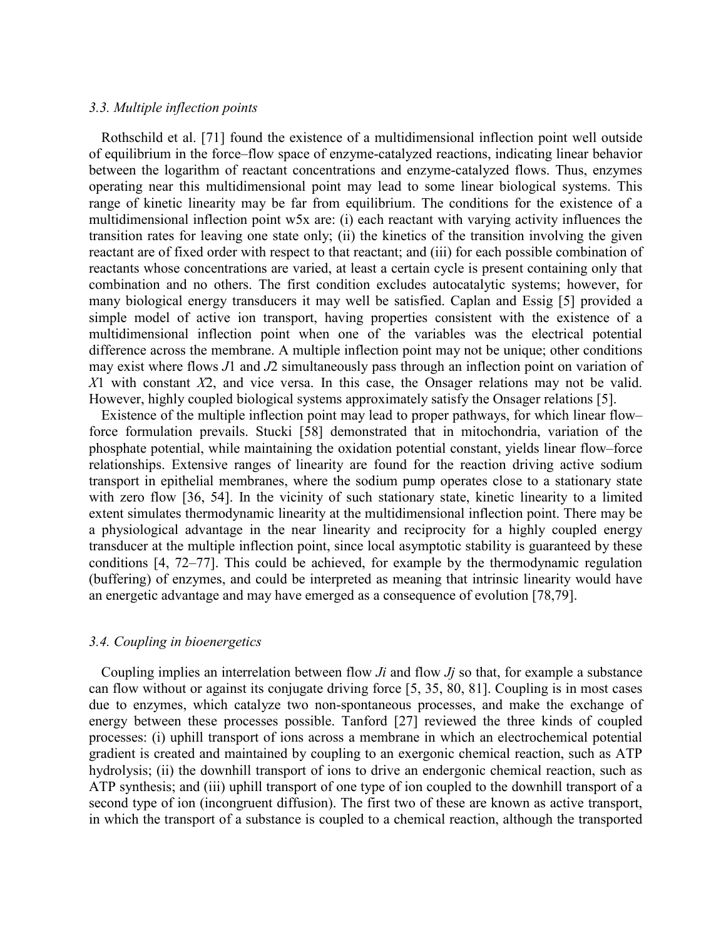#### *3.3. Multiple inflection points*

Rothschild et al. [71] found the existence of a multidimensional inflection point well outside of equilibrium in the force–flow space of enzyme-catalyzed reactions, indicating linear behavior between the logarithm of reactant concentrations and enzyme-catalyzed flows. Thus, enzymes operating near this multidimensional point may lead to some linear biological systems. This range of kinetic linearity may be far from equilibrium. The conditions for the existence of a multidimensional inflection point w5x are: (i) each reactant with varying activity influences the transition rates for leaving one state only; (ii) the kinetics of the transition involving the given reactant are of fixed order with respect to that reactant; and (iii) for each possible combination of reactants whose concentrations are varied, at least a certain cycle is present containing only that combination and no others. The first condition excludes autocatalytic systems; however, for many biological energy transducers it may well be satisfied. Caplan and Essig [5] provided a simple model of active ion transport, having properties consistent with the existence of a multidimensional inflection point when one of the variables was the electrical potential difference across the membrane. A multiple inflection point may not be unique; other conditions may exist where flows *J*1 and *J*2 simultaneously pass through an inflection point on variation of *X*1 with constant *X*2, and vice versa. In this case, the Onsager relations may not be valid. However, highly coupled biological systems approximately satisfy the Onsager relations [5].

Existence of the multiple inflection point may lead to proper pathways, for which linear flow– force formulation prevails. Stucki [58] demonstrated that in mitochondria, variation of the phosphate potential, while maintaining the oxidation potential constant, yields linear flow–force relationships. Extensive ranges of linearity are found for the reaction driving active sodium transport in epithelial membranes, where the sodium pump operates close to a stationary state with zero flow [36, 54]. In the vicinity of such stationary state, kinetic linearity to a limited extent simulates thermodynamic linearity at the multidimensional inflection point. There may be a physiological advantage in the near linearity and reciprocity for a highly coupled energy transducer at the multiple inflection point, since local asymptotic stability is guaranteed by these conditions [4, 72–77]. This could be achieved, for example by the thermodynamic regulation (buffering) of enzymes, and could be interpreted as meaning that intrinsic linearity would have an energetic advantage and may have emerged as a consequence of evolution [78,79].

#### *3.4. Coupling in bioenergetics*

Coupling implies an interrelation between flow *Ji* and flow *Jj* so that, for example a substance can flow without or against its conjugate driving force [5, 35, 80, 81]. Coupling is in most cases due to enzymes, which catalyze two non-spontaneous processes, and make the exchange of energy between these processes possible. Tanford [27] reviewed the three kinds of coupled processes: (i) uphill transport of ions across a membrane in which an electrochemical potential gradient is created and maintained by coupling to an exergonic chemical reaction, such as ATP hydrolysis; (ii) the downhill transport of ions to drive an endergonic chemical reaction, such as ATP synthesis; and (iii) uphill transport of one type of ion coupled to the downhill transport of a second type of ion (incongruent diffusion). The first two of these are known as active transport, in which the transport of a substance is coupled to a chemical reaction, although the transported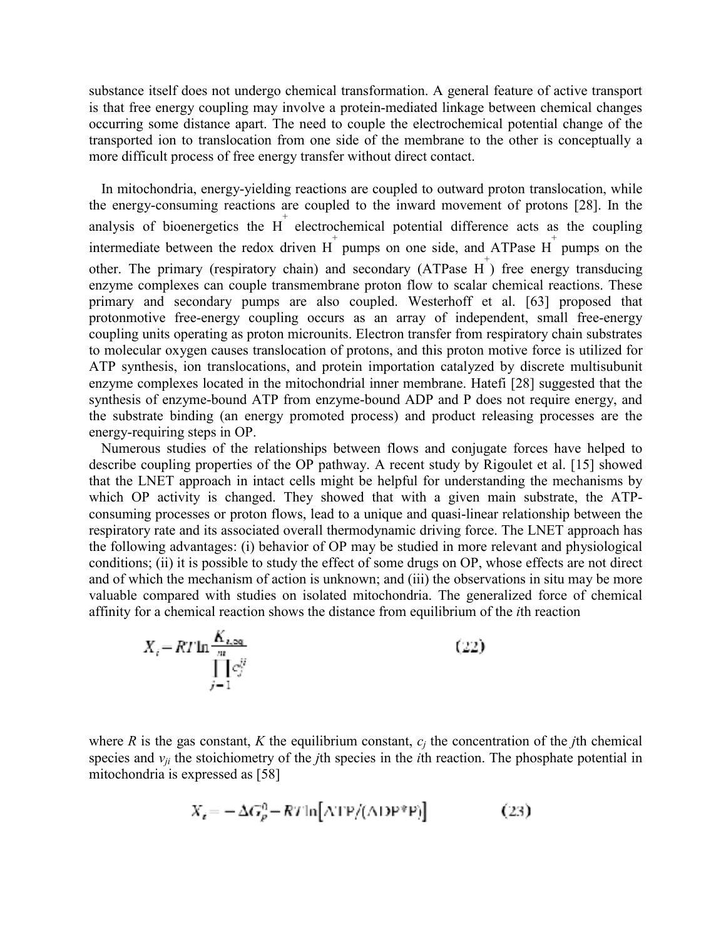substance itself does not undergo chemical transformation. A general feature of active transport is that free energy coupling may involve a protein-mediated linkage between chemical changes occurring some distance apart. The need to couple the electrochemical potential change of the transported ion to translocation from one side of the membrane to the other is conceptually a more difficult process of free energy transfer without direct contact.

In mitochondria, energy-yielding reactions are coupled to outward proton translocation, while the energy-consuming reactions are coupled to the inward movement of protons [28]. In the analysis of bioenergetics the  $H^+$  electrochemical potential difference acts as the coupling intermediate between the redox driven  $H^+$  pumps on one side, and ATPase  $H^+$  pumps on the other. The primary (respiratory chain) and secondary (ATPase  $H^+$ ) free energy transducing enzyme complexes can couple transmembrane proton flow to scalar chemical reactions. These primary and secondary pumps are also coupled. Westerhoff et al. [63] proposed that protonmotive free-energy coupling occurs as an array of independent, small free-energy coupling units operating as proton microunits. Electron transfer from respiratory chain substrates to molecular oxygen causes translocation of protons, and this proton motive force is utilized for ATP synthesis, ion translocations, and protein importation catalyzed by discrete multisubunit enzyme complexes located in the mitochondrial inner membrane. Hatefi [28] suggested that the synthesis of enzyme-bound ATP from enzyme-bound ADP and P does not require energy, and the substrate binding (an energy promoted process) and product releasing processes are the energy-requiring steps in OP.

Numerous studies of the relationships between flows and conjugate forces have helped to describe coupling properties of the OP pathway. A recent study by Rigoulet et al. [15] showed that the LNET approach in intact cells might be helpful for understanding the mechanisms by which OP activity is changed. They showed that with a given main substrate, the ATPconsuming processes or proton flows, lead to a unique and quasi-linear relationship between the respiratory rate and its associated overall thermodynamic driving force. The LNET approach has the following advantages: (i) behavior of OP may be studied in more relevant and physiological conditions; (ii) it is possible to study the effect of some drugs on OP, whose effects are not direct and of which the mechanism of action is unknown; and (iii) the observations in situ may be more valuable compared with studies on isolated mitochondria. The generalized force of chemical affinity for a chemical reaction shows the distance from equilibrium of the *i*th reaction

$$
X_i = RT \ln \frac{K_{i,\text{eq}}}{\prod_{j=1}^{m} c_j^{ij}} \tag{22}
$$

where *R* is the gas constant, *K* the equilibrium constant,  $c_i$  the concentration of the *j*th chemical species and  $v_{ji}$  the stoichiometry of the *j*th species in the *i*th reaction. The phosphate potential in mitochondria is expressed as [58]

$$
X_i = -\Delta G_p^0 - RT \ln[\text{ATP}/(\text{ADP}^* \text{P})] \tag{23}
$$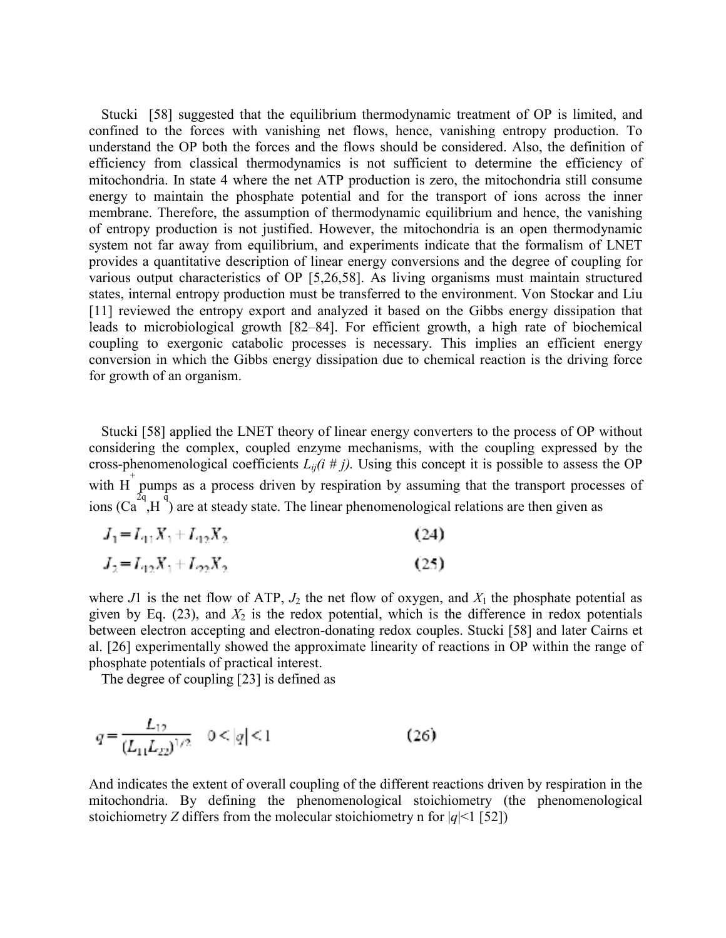Stucki [58] suggested that the equilibrium thermodynamic treatment of OP is limited, and confined to the forces with vanishing net flows, hence, vanishing entropy production. To understand the OP both the forces and the flows should be considered. Also, the definition of efficiency from classical thermodynamics is not sufficient to determine the efficiency of mitochondria. In state 4 where the net ATP production is zero, the mitochondria still consume energy to maintain the phosphate potential and for the transport of ions across the inner membrane. Therefore, the assumption of thermodynamic equilibrium and hence, the vanishing of entropy production is not justified. However, the mitochondria is an open thermodynamic system not far away from equilibrium, and experiments indicate that the formalism of LNET provides a quantitative description of linear energy conversions and the degree of coupling for various output characteristics of OP [5,26,58]. As living organisms must maintain structured states, internal entropy production must be transferred to the environment. Von Stockar and Liu [11] reviewed the entropy export and analyzed it based on the Gibbs energy dissipation that leads to microbiological growth [82–84]. For efficient growth, a high rate of biochemical coupling to exergonic catabolic processes is necessary. This implies an efficient energy conversion in which the Gibbs energy dissipation due to chemical reaction is the driving force for growth of an organism.

Stucki [58] applied the LNET theory of linear energy converters to the process of OP without considering the complex, coupled enzyme mechanisms, with the coupling expressed by the cross-phenomenological coefficients  $L_{ij}(i \# j)$ . Using this concept it is possible to assess the OP with  $H^+$  pumps as a process driven by respiration by assuming that the transport processes of ions  $(Ca^{2q}, H^q)$  are at steady state. The linear phenomenological relations are then given as

$$
J_1 = L_{11}X_1 + L_{12}X_2
$$
\n
$$
J_2 = L_{12}X_2 + L_{22}X_2
$$
\n(24)

$$
x_2 - x_1 x_1 + x_2 x_2
$$

where *J*1 is the net flow of ATP,  $J_2$  the net flow of oxygen, and  $X_1$  the phosphate potential as given by Eq.  $(23)$ , and  $X_2$  is the redox potential, which is the difference in redox potentials between electron accepting and electron-donating redox couples. Stucki [58] and later Cairns et al. [26] experimentally showed the approximate linearity of reactions in OP within the range of phosphate potentials of practical interest.

The degree of coupling [23] is defined as

$$
q = \frac{L_{12}}{(L_{11}L_{22})^{1/2}} \quad 0 < |q| < 1 \tag{26}
$$

And indicates the extent of overall coupling of the different reactions driven by respiration in the mitochondria. By defining the phenomenological stoichiometry (the phenomenological stoichiometry *Z* differs from the molecular stoichiometry n for  $|q|$ <1 [52])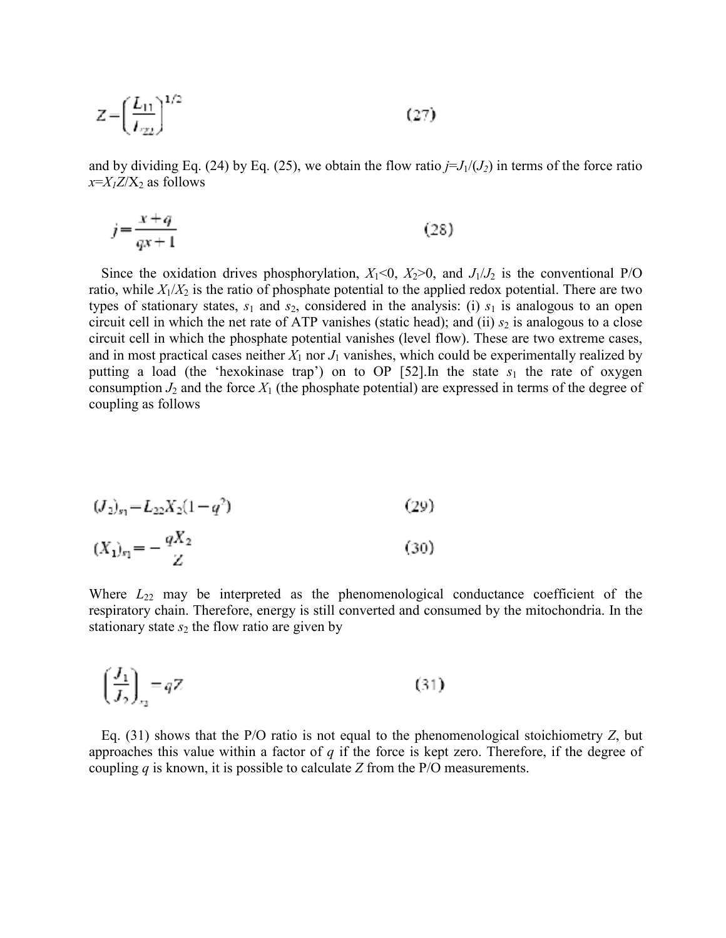$$
Z = \left(\frac{L_{11}}{L_{22}}\right)^{1/2} \tag{27}
$$

and by dividing Eq. (24) by Eq. (25), we obtain the flow ratio  $j=J_1/(J_2)$  in terms of the force ratio  $x=X_1Z/X_2$  as follows

$$
j = \frac{x+q}{qx+1} \tag{28}
$$

Since the oxidation drives phosphorylation,  $X_1<0$ ,  $X_2>0$ , and  $J_1/J_2$  is the conventional P/O ratio, while  $X_1/X_2$  is the ratio of phosphate potential to the applied redox potential. There are two types of stationary states,  $s_1$  and  $s_2$ , considered in the analysis: (i)  $s_1$  is analogous to an open circuit cell in which the net rate of ATP vanishes (static head); and (ii)  $s_2$  is analogous to a close circuit cell in which the phosphate potential vanishes (level flow). These are two extreme cases, and in most practical cases neither  $X_1$  nor  $J_1$  vanishes, which could be experimentally realized by putting a load (the 'hexokinase trap') on to OP  $[52]$ . In the state  $s_1$  the rate of oxygen consumption  $J_2$  and the force  $X_1$  (the phosphate potential) are expressed in terms of the degree of coupling as follows

$$
(J_2)_{s_1} = L_{22} X_2 (1 - q^2) \tag{29}
$$

$$
(X_1)_{r_1} = -\frac{qX_2}{Z} \tag{30}
$$

Where  $L_{22}$  may be interpreted as the phenomenological conductance coefficient of the respiratory chain. Therefore, energy is still converted and consumed by the mitochondria. In the stationary state  $s_2$  the flow ratio are given by

$$
\left(\frac{J_1}{J_2}\right)_{r_2} = qZ\tag{31}
$$

Eq. (31) shows that the P/O ratio is not equal to the phenomenological stoichiometry *Z*, but approaches this value within a factor of *q* if the force is kept zero. Therefore, if the degree of coupling *q* is known, it is possible to calculate *Z* from the P/O measurements.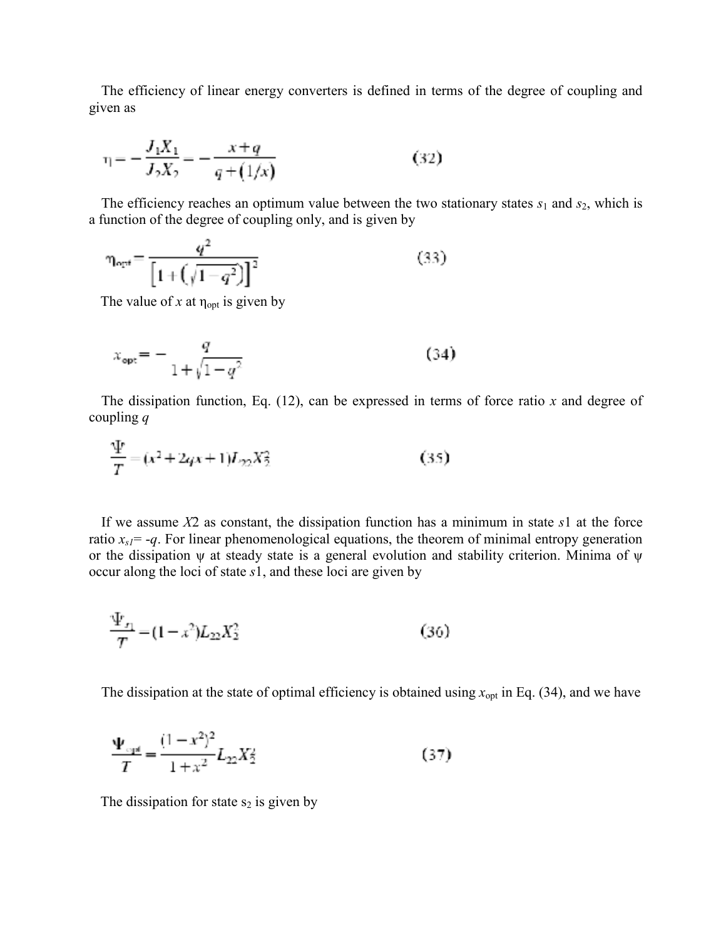The efficiency of linear energy converters is defined in terms of the degree of coupling and given as

$$
\eta = -\frac{J_1 X_1}{J_2 X_2} = -\frac{x + q}{q + (1/x)}\tag{32}
$$

The efficiency reaches an optimum value between the two stationary states  $s_1$  and  $s_2$ , which is a function of the degree of coupling only, and is given by

$$
\eta_{\text{opt}} = \frac{q^2}{\left[1 + \left(\sqrt{1 - q^2}\right)\right]^2} \tag{33}
$$

The value of  $x$  at  $\eta_{opt}$  is given by

$$
x_{\rm opt} = -\frac{q}{1 + \sqrt{1 - q^2}}\tag{34}
$$

The dissipation function, Eq. (12), can be expressed in terms of force ratio *x* and degree of coupling *q*

$$
\frac{\Psi}{T} = (x^2 + 2qx + 1)L_{22}X_2^2 \tag{35}
$$

If we assume *X*2 as constant, the dissipation function has a minimum in state *s*1 at the force ratio  $x_{s1}$  = -*q*. For linear phenomenological equations, the theorem of minimal entropy generation or the dissipation  $\psi$  at steady state is a general evolution and stability criterion. Minima of  $\psi$ occur along the loci of state *s*1, and these loci are given by

$$
\frac{\Psi_{x_1}}{T} = (1 - x^2)L_{22}X_2^2 \tag{36}
$$

The dissipation at the state of optimal efficiency is obtained using  $x_{opt}$  in Eq. (34), and we have

$$
\frac{\Psi_{\text{opt}}}{T} = \frac{(1 - x^2)^2}{1 + x^2} L_{22} X_2^2 \tag{37}
$$

The dissipation for state  $s_2$  is given by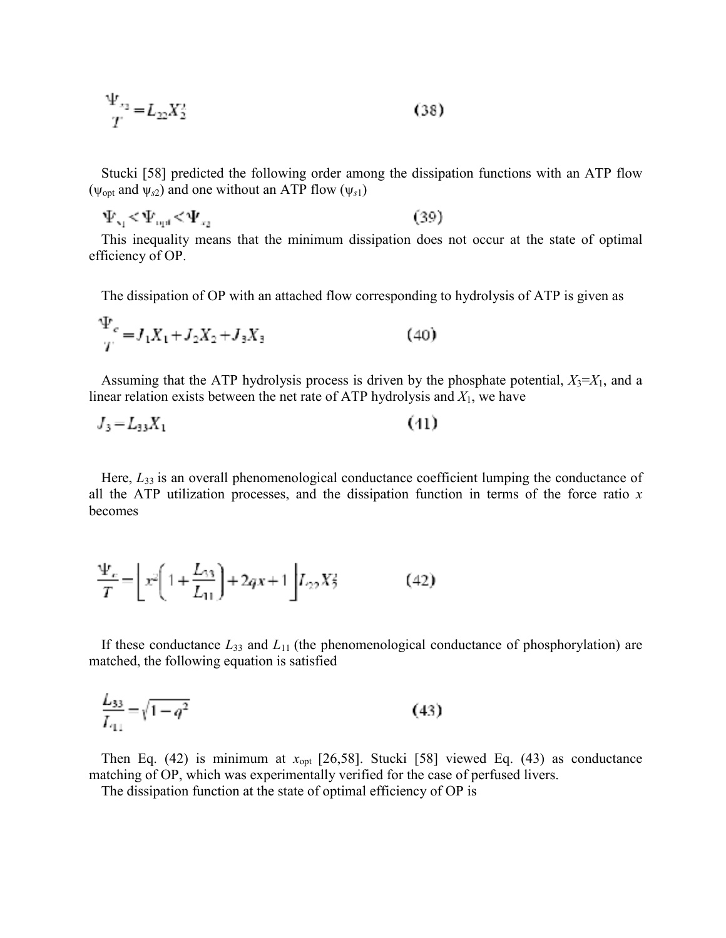$$
\frac{\Psi_{x_2}}{T} = L_{22} X_2^2 \tag{38}
$$

Stucki [58] predicted the following order among the dissipation functions with an ATP flow ( $\psi_{opt}$  and  $\psi_{s2}$ ) and one without an ATP flow ( $\psi_{s1}$ )

 $\Psi_{\rm v1} \negthinspace < \negthinspace \Psi_{\rm opt} \negthinspace < \negthinspace \Psi_{\rm z1}$  $(39)$ 

This inequality means that the minimum dissipation does not occur at the state of optimal efficiency of OP.

The dissipation of OP with an attached flow corresponding to hydrolysis of ATP is given as

$$
\frac{\Psi_e}{T} = J_1 X_1 + J_2 X_2 + J_3 X_3 \tag{40}
$$

Assuming that the ATP hydrolysis process is driven by the phosphate potential,  $X_3 = X_1$ , and a linear relation exists between the net rate of ATP hydrolysis and *X*1, we have

$$
J_3 = L_{33} X_1 \tag{41}
$$

Here,  $L_{33}$  is an overall phenomenological conductance coefficient lumping the conductance of all the ATP utilization processes, and the dissipation function in terms of the force ratio *x* becomes

$$
\frac{\Psi_e}{T} = \left[ x^2 \left( 1 + \frac{L_{33}}{L_{11}} \right) + 2qx + 1 \right] L_{22} X_2^2 \tag{42}
$$

If these conductance  $L_{33}$  and  $L_{11}$  (the phenomenological conductance of phosphorylation) are matched, the following equation is satisfied

$$
\frac{L_{33}}{L_{11}} = \sqrt{1 - q^2} \tag{43}
$$

Then Eq. (42) is minimum at  $x_{opt}$  [26,58]. Stucki [58] viewed Eq. (43) as conductance matching of OP, which was experimentally verified for the case of perfused livers.

The dissipation function at the state of optimal efficiency of OP is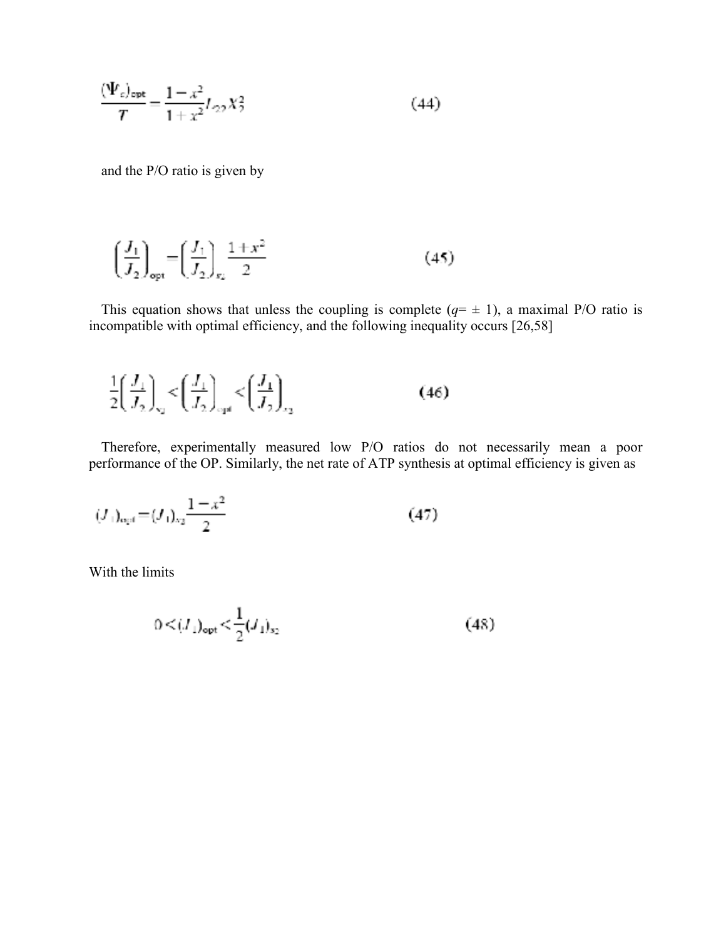$$
\frac{(\Psi_c)_{\text{opt}}}{T} = \frac{1 - x^2}{1 + x^2} L_{22} X_2^2 \tag{44}
$$

and the P/O ratio is given by

$$
\left(\frac{J_1}{J_2}\right)_{\text{opt}} = \left(\frac{J_1}{J_2}\right)_{\text{sg}} \frac{1+x^2}{2} \tag{45}
$$

This equation shows that unless the coupling is complete  $(q= \pm 1)$ , a maximal P/O ratio is incompatible with optimal efficiency, and the following inequality occurs [26,58]

$$
\frac{1}{2} \left( \frac{J_1}{J_2} \right)_{\rm q} < \left( \frac{J_1}{J_2} \right)_{\rm qd} < \left( \frac{J_1}{J_2} \right)_{\rm qd}
$$
\n(46)

Therefore, experimentally measured low P/O ratios do not necessarily mean a poor performance of the OP. Similarly, the net rate of ATP synthesis at optimal efficiency is given as

$$
(J_1)_{\text{opt}} = (J_1)_{\text{eq}} \frac{1 - x^2}{2} \tag{47}
$$

With the limits

$$
0 \le (I_1)_{opt} \le \frac{1}{2} (I_1)_{s_2} \tag{48}
$$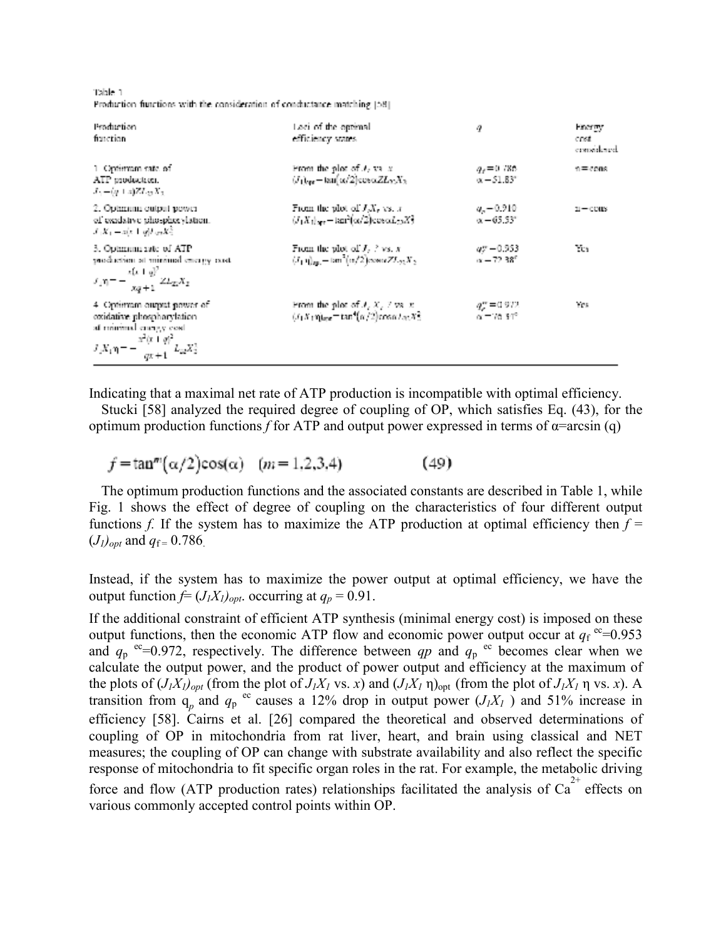Table 1 Production functions with the consideration of conductance matching [58].

| Production<br>function                                                                                                                        | Lesi of the optimal.<br>efficiency states.                                                                      | ą                                                       | <b>Energy</b><br>cost<br>considered |
|-----------------------------------------------------------------------------------------------------------------------------------------------|-----------------------------------------------------------------------------------------------------------------|---------------------------------------------------------|-------------------------------------|
| 1 Optimiam rate of<br>ATP production.<br>$J_0 = (q + z)Z L_{22} X_2$                                                                          | From the plot of $J_2$ value<br>$(J_1)_{\alpha\alpha}$ – $\tan(\alpha/2)$ cos $\alpha Z L_2 X_3$                | $q_{\nu}$ =0.786<br>$x - 51.83$                         | n = cons.                           |
| 2. Optimum output power<br>of exadative phospherylation.<br>$J_1K_1 = x(x + y)I_{1/2}K_2^2$                                                   | From the plot of $J_xX_y$ vs. x<br>$(J_1 X_1)_{\text{app}} = \tan^2(\alpha/2) \cos \alpha L_{22} X_2^2$         | $a_{r} = 0.210$<br>$\alpha - 65.53^{\circ}$             | $n - const$                         |
| 3. Optimum rate of ATP<br>specification at minimal energy cost.<br>$J_1 \eta = -\frac{x(x+y)^2}{x^2+1} Z L_{2x} X_2$                          | From the plot of $J_2 \nless v_s$ , x<br>$(I_1 \eta)_{\text{min}} = \tan^2(\alpha/2)$ cow $\alpha Z L_{22} X_2$ | $a$ r – 0.953<br>$\alpha = 72.38^{\circ}$               | Yes                                 |
| 4 Optimum output power of<br>exidative phosphorylation.<br>at minimal currely cost.<br>$J_x X_1 \eta = -\frac{x^2(x+q)^2}{qx+1} L_{xx} X_2^2$ | From the plot of $J, X, Z$ vs. $x$<br>$(t_1X_1\eta)_{\text{enc}} = \tan^4(\alpha/2)\cos(\alpha/\alpha/3)$       | $q_{\mu}^{\rm ex}$ = 0.972.<br>$\alpha = 70.34^{\circ}$ | res                                 |

Indicating that a maximal net rate of ATP production is incompatible with optimal efficiency.

Stucki [58] analyzed the required degree of coupling of OP, which satisfies Eq. (43), for the optimum production functions *f* for ATP and output power expressed in terms of  $\alpha$ =arcsin (q)

 $f = \tan^{m}(\alpha/2)\cos(\alpha)$  (*m* = 1,2,3,4)  $(49)$ 

The optimum production functions and the associated constants are described in Table 1, while Fig. 1 shows the effect of degree of coupling on the characteristics of four different output functions *f*. If the system has to maximize the ATP production at optimal efficiency then  $f =$  $(J_l)_{\text{ont}}$  and  $q_f = 0.786$ .

Instead, if the system has to maximize the power output at optimal efficiency, we have the output function  $f = (J_1 X_1)_{opt}$ . occurring at  $q_p = 0.91$ .

If the additional constraint of efficient ATP synthesis (minimal energy cost) is imposed on these output functions, then the economic ATP flow and economic power output occur at  $q_f$ <sup>ec</sup>=0.953 and  $q_p$  <sup>ec</sup>=0.972, respectively. The difference between *qp* and  $q_p$  <sup>ec</sup> becomes clear when we calculate the output power, and the product of power output and efficiency at the maximum of the plots of  $(J_1X_1)_{opt}$  (from the plot of  $J_1X_1$  vs. *x*) and  $(J_1X_1 \eta)_{opt}$  (from the plot of  $J_1X_1 \eta$  vs. *x*). A transition from  $q_p$  and  $q_p$ <sup>ec</sup> causes a 12% drop in output power  $(J_1X_1)$  and 51% increase in efficiency [58]. Cairns et al. [26] compared the theoretical and observed determinations of coupling of OP in mitochondria from rat liver, heart, and brain using classical and NET measures; the coupling of OP can change with substrate availability and also reflect the specific response of mitochondria to fit specific organ roles in the rat. For example, the metabolic driving force and flow (ATP production rates) relationships facilitated the analysis of  $Ca<sup>2+</sup>$  effects on various commonly accepted control points within OP.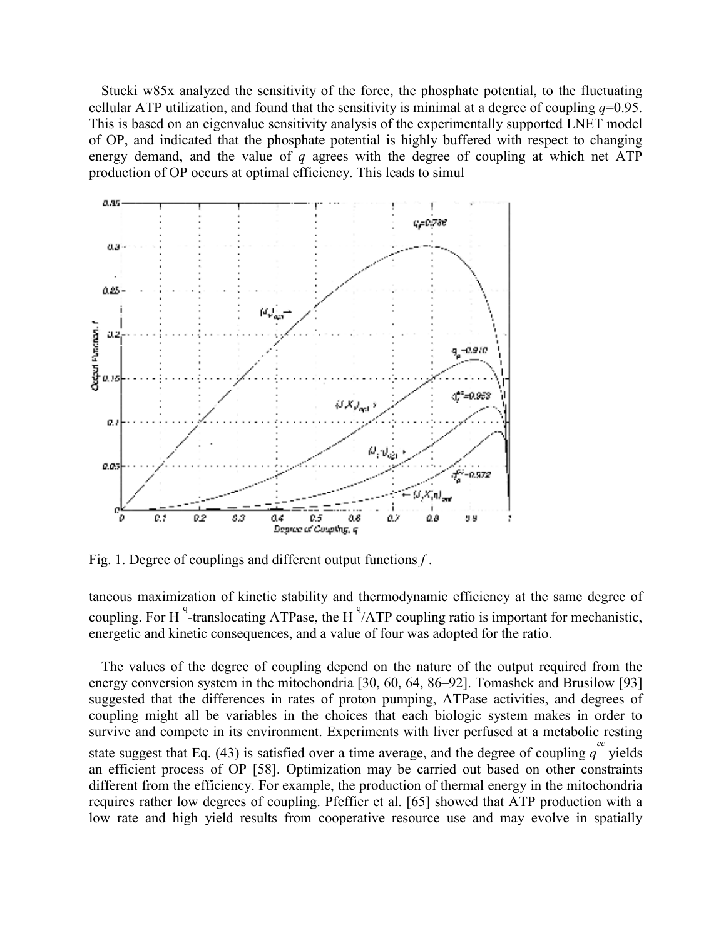Stucki w85x analyzed the sensitivity of the force, the phosphate potential, to the fluctuating cellular ATP utilization, and found that the sensitivity is minimal at a degree of coupling  $q=0.95$ . This is based on an eigenvalue sensitivity analysis of the experimentally supported LNET model of OP, and indicated that the phosphate potential is highly buffered with respect to changing energy demand, and the value of *q* agrees with the degree of coupling at which net ATP production of OP occurs at optimal efficiency. This leads to simul



Fig. 1. Degree of couplings and different output functions *f* .

taneous maximization of kinetic stability and thermodynamic efficiency at the same degree of coupling. For H<sup>q</sup>-translocating ATPase, the H<sup>q</sup>/ATP coupling ratio is important for mechanistic, energetic and kinetic consequences, and a value of four was adopted for the ratio.

The values of the degree of coupling depend on the nature of the output required from the energy conversion system in the mitochondria [30, 60, 64, 86–92]. Tomashek and Brusilow [93] suggested that the differences in rates of proton pumping, ATPase activities, and degrees of coupling might all be variables in the choices that each biologic system makes in order to survive and compete in its environment. Experiments with liver perfused at a metabolic resting state suggest that Eq. (43) is satisfied over a time average, and the degree of coupling  $q^e$  yields an efficient process of OP [58]. Optimization may be carried out based on other constraints different from the efficiency. For example, the production of thermal energy in the mitochondria requires rather low degrees of coupling. Pfeffier et al. [65] showed that ATP production with a low rate and high yield results from cooperative resource use and may evolve in spatially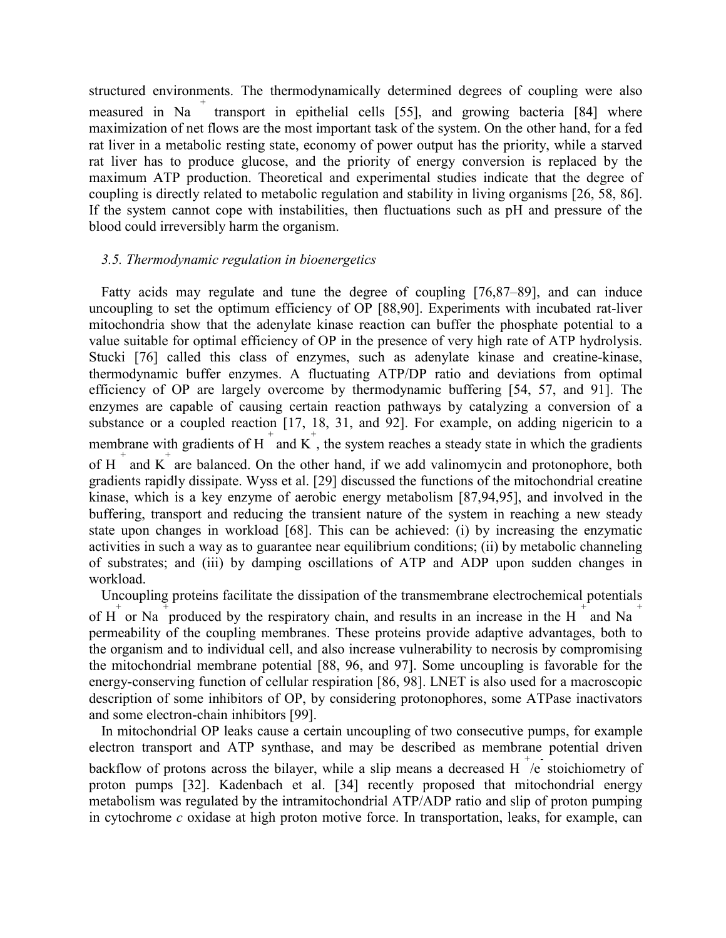structured environments. The thermodynamically determined degrees of coupling were also measured in Na<sup>+</sup> transport in epithelial cells [55], and growing bacteria [84] where maximization of net flows are the most important task of the system. On the other hand, for a fed rat liver in a metabolic resting state, economy of power output has the priority, while a starved rat liver has to produce glucose, and the priority of energy conversion is replaced by the maximum ATP production. Theoretical and experimental studies indicate that the degree of coupling is directly related to metabolic regulation and stability in living organisms [26, 58, 86]. If the system cannot cope with instabilities, then fluctuations such as pH and pressure of the blood could irreversibly harm the organism.

#### *3.5. Thermodynamic regulation in bioenergetics*

Fatty acids may regulate and tune the degree of coupling [76,87–89], and can induce uncoupling to set the optimum efficiency of OP [88,90]. Experiments with incubated rat-liver mitochondria show that the adenylate kinase reaction can buffer the phosphate potential to a value suitable for optimal efficiency of OP in the presence of very high rate of ATP hydrolysis. Stucki [76] called this class of enzymes, such as adenylate kinase and creatine-kinase, thermodynamic buffer enzymes. A fluctuating ATP/DP ratio and deviations from optimal efficiency of OP are largely overcome by thermodynamic buffering [54, 57, and 91]. The enzymes are capable of causing certain reaction pathways by catalyzing a conversion of a substance or a coupled reaction [17, 18, 31, and 92]. For example, on adding nigericin to a membrane with gradients of H  $^+$  and K, the system reaches a steady state in which the gradients of H<sup> $+$ </sup> and K<sup> $+$ </sup> are balanced. On the other hand, if we add valinomycin and protonophore, both gradients rapidly dissipate. Wyss et al. [29] discussed the functions of the mitochondrial creatine kinase, which is a key enzyme of aerobic energy metabolism [87,94,95], and involved in the buffering, transport and reducing the transient nature of the system in reaching a new steady state upon changes in workload [68]. This can be achieved: (i) by increasing the enzymatic activities in such a way as to guarantee near equilibrium conditions; (ii) by metabolic channeling of substrates; and (iii) by damping oscillations of ATP and ADP upon sudden changes in workload.

Uncoupling proteins facilitate the dissipation of the transmembrane electrochemical potentials of H<sup> $+$ </sup> or Na + produced by the respiratory chain, and results in an increase in the H $+$  and Na  $+$ permeability of the coupling membranes. These proteins provide adaptive advantages, both to the organism and to individual cell, and also increase vulnerability to necrosis by compromising the mitochondrial membrane potential [88, 96, and 97]. Some uncoupling is favorable for the energy-conserving function of cellular respiration [86, 98]. LNET is also used for a macroscopic description of some inhibitors of OP, by considering protonophores, some ATPase inactivators and some electron-chain inhibitors [99].

In mitochondrial OP leaks cause a certain uncoupling of two consecutive pumps, for example electron transport and ATP synthase, and may be described as membrane potential driven backflow of protons across the bilayer, while a slip means a decreased  $H^+$ /e stoichiometry of proton pumps [32]. Kadenbach et al. [34] recently proposed that mitochondrial energy metabolism was regulated by the intramitochondrial ATP/ADP ratio and slip of proton pumping in cytochrome *c* oxidase at high proton motive force. In transportation, leaks, for example, can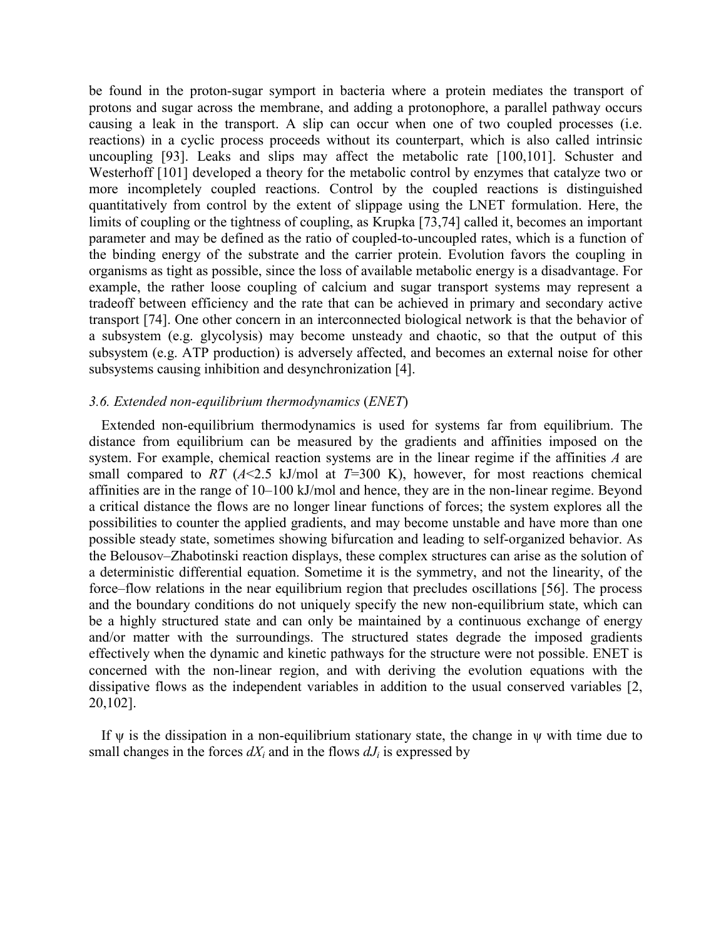be found in the proton-sugar symport in bacteria where a protein mediates the transport of protons and sugar across the membrane, and adding a protonophore, a parallel pathway occurs causing a leak in the transport. A slip can occur when one of two coupled processes (i.e. reactions) in a cyclic process proceeds without its counterpart, which is also called intrinsic uncoupling [93]. Leaks and slips may affect the metabolic rate [100,101]. Schuster and Westerhoff [101] developed a theory for the metabolic control by enzymes that catalyze two or more incompletely coupled reactions. Control by the coupled reactions is distinguished quantitatively from control by the extent of slippage using the LNET formulation. Here, the limits of coupling or the tightness of coupling, as Krupka [73,74] called it, becomes an important parameter and may be defined as the ratio of coupled-to-uncoupled rates, which is a function of the binding energy of the substrate and the carrier protein. Evolution favors the coupling in organisms as tight as possible, since the loss of available metabolic energy is a disadvantage. For example, the rather loose coupling of calcium and sugar transport systems may represent a tradeoff between efficiency and the rate that can be achieved in primary and secondary active transport [74]. One other concern in an interconnected biological network is that the behavior of a subsystem (e.g. glycolysis) may become unsteady and chaotic, so that the output of this subsystem (e.g. ATP production) is adversely affected, and becomes an external noise for other subsystems causing inhibition and desynchronization [4].

#### *3.6. Extended non-equilibrium thermodynamics* (*ENET*)

Extended non-equilibrium thermodynamics is used for systems far from equilibrium. The distance from equilibrium can be measured by the gradients and affinities imposed on the system. For example, chemical reaction systems are in the linear regime if the affinities *A* are small compared to *RT*  $(A<2.5$  kJ/mol at  $T=300$  K), however, for most reactions chemical affinities are in the range of 10–100 kJ/mol and hence, they are in the non-linear regime. Beyond a critical distance the flows are no longer linear functions of forces; the system explores all the possibilities to counter the applied gradients, and may become unstable and have more than one possible steady state, sometimes showing bifurcation and leading to self-organized behavior. As the Belousov–Zhabotinski reaction displays, these complex structures can arise as the solution of a deterministic differential equation. Sometime it is the symmetry, and not the linearity, of the force–flow relations in the near equilibrium region that precludes oscillations [56]. The process and the boundary conditions do not uniquely specify the new non-equilibrium state, which can be a highly structured state and can only be maintained by a continuous exchange of energy and/or matter with the surroundings. The structured states degrade the imposed gradients effectively when the dynamic and kinetic pathways for the structure were not possible. ENET is concerned with the non-linear region, and with deriving the evolution equations with the dissipative flows as the independent variables in addition to the usual conserved variables [2, 20,102].

If  $\psi$  is the dissipation in a non-equilibrium stationary state, the change in  $\psi$  with time due to small changes in the forces  $dX_i$  and in the flows  $dJ_i$  is expressed by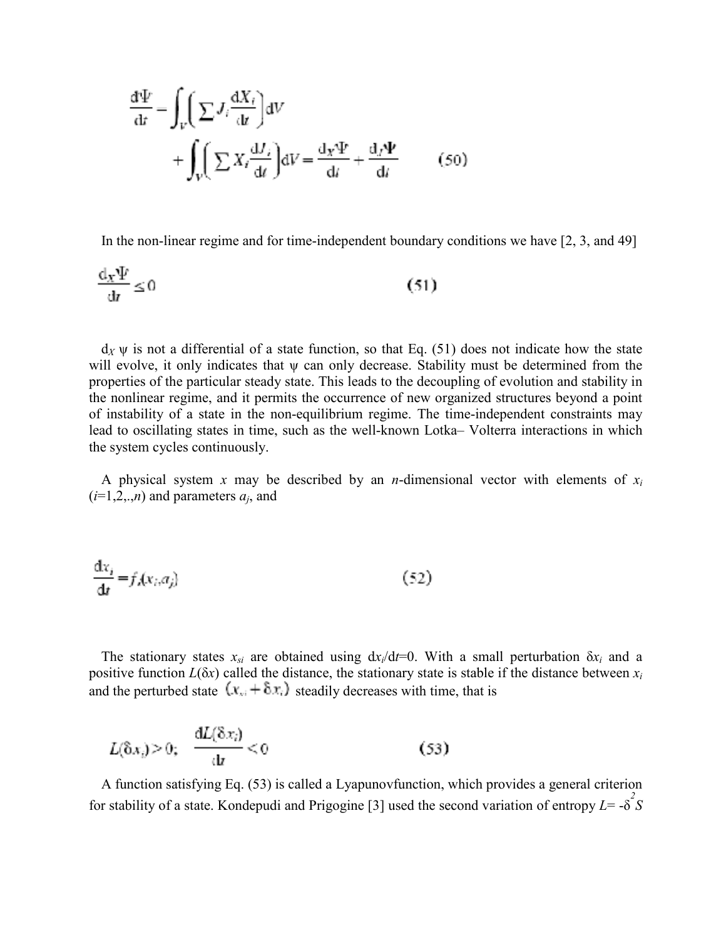$$
\frac{d\Psi}{dt} = \int_{V} \left( \sum J_{i} \frac{dX_{i}}{dt} \right) dV + \int_{V} \left( \sum X_{i} \frac{dJ_{i}}{dt} \right) dV = \frac{d_{X} \Psi}{dt} + \frac{d_{J} \Psi}{dt}
$$
 (50)

In the non-linear regime and for time-independent boundary conditions we have [2, 3, and 49]

$$
\frac{\mathrm{d}_x \Psi}{\mathrm{d}t} \le 0 \tag{51}
$$

 $d_X \psi$  is not a differential of a state function, so that Eq. (51) does not indicate how the state will evolve, it only indicates that  $\psi$  can only decrease. Stability must be determined from the properties of the particular steady state. This leads to the decoupling of evolution and stability in the nonlinear regime, and it permits the occurrence of new organized structures beyond a point of instability of a state in the non-equilibrium regime. The time-independent constraints may lead to oscillating states in time, such as the well-known Lotka– Volterra interactions in which the system cycles continuously.

A physical system *x* may be described by an *n*-dimensional vector with elements of *xi*  $(i=1,2,..,n)$  and parameters  $a_i$ , and

$$
\frac{\mathrm{d}x_i}{\mathrm{d}t} = f_i(x_i, a_j) \tag{52}
$$

The stationary states  $x_{si}$  are obtained using  $dx_i/dt=0$ . With a small perturbation  $\delta x_i$  and a positive function  $L(\delta x)$  called the distance, the stationary state is stable if the distance between  $x_i$ and the perturbed state  $(x_{si} + \delta x_i)$  steadily decreases with time, that is

$$
L(\delta x_i) > 0; \quad \frac{\mathrm{d}L(\delta x_i)}{\mathrm{d}t} < 0 \tag{53}
$$

A function satisfying Eq. (53) is called a Lyapunovfunction, which provides a general criterion for stability of a state. Kondepudi and Prigogine [3] used the second variation of entropy  $L = -\delta^2 S$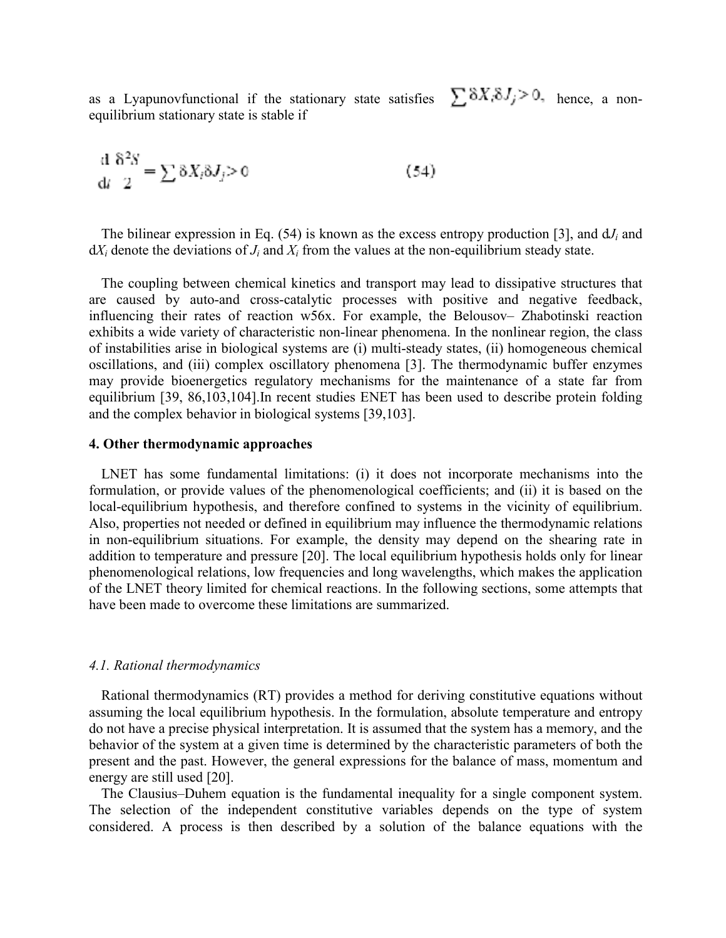as a Lyapunov functional if the stationary state satisfies  $\sum \delta X_i \delta J_j > 0$ , hence, a nonequilibrium stationary state is stable if

$$
\frac{\mathrm{d}}{\mathrm{d}t} \frac{\delta^2 S}{2} = \sum \delta X_i \delta J_j > 0 \tag{54}
$$

The bilinear expression in Eq.  $(54)$  is known as the excess entropy production [3], and  $dJ_i$  and  $dX_i$  denote the deviations of  $J_i$  and  $X_i$  from the values at the non-equilibrium steady state.

The coupling between chemical kinetics and transport may lead to dissipative structures that are caused by auto-and cross-catalytic processes with positive and negative feedback, influencing their rates of reaction w56x. For example, the Belousov– Zhabotinski reaction exhibits a wide variety of characteristic non-linear phenomena. In the nonlinear region, the class of instabilities arise in biological systems are (i) multi-steady states, (ii) homogeneous chemical oscillations, and (iii) complex oscillatory phenomena [3]. The thermodynamic buffer enzymes may provide bioenergetics regulatory mechanisms for the maintenance of a state far from equilibrium [39, 86,103,104].In recent studies ENET has been used to describe protein folding and the complex behavior in biological systems [39,103].

#### **4. Other thermodynamic approaches**

LNET has some fundamental limitations: (i) it does not incorporate mechanisms into the formulation, or provide values of the phenomenological coefficients; and (ii) it is based on the local-equilibrium hypothesis, and therefore confined to systems in the vicinity of equilibrium. Also, properties not needed or defined in equilibrium may influence the thermodynamic relations in non-equilibrium situations. For example, the density may depend on the shearing rate in addition to temperature and pressure [20]. The local equilibrium hypothesis holds only for linear phenomenological relations, low frequencies and long wavelengths, which makes the application of the LNET theory limited for chemical reactions. In the following sections, some attempts that have been made to overcome these limitations are summarized.

#### *4.1. Rational thermodynamics*

Rational thermodynamics (RT) provides a method for deriving constitutive equations without assuming the local equilibrium hypothesis. In the formulation, absolute temperature and entropy do not have a precise physical interpretation. It is assumed that the system has a memory, and the behavior of the system at a given time is determined by the characteristic parameters of both the present and the past. However, the general expressions for the balance of mass, momentum and energy are still used [20].

The Clausius–Duhem equation is the fundamental inequality for a single component system. The selection of the independent constitutive variables depends on the type of system considered. A process is then described by a solution of the balance equations with the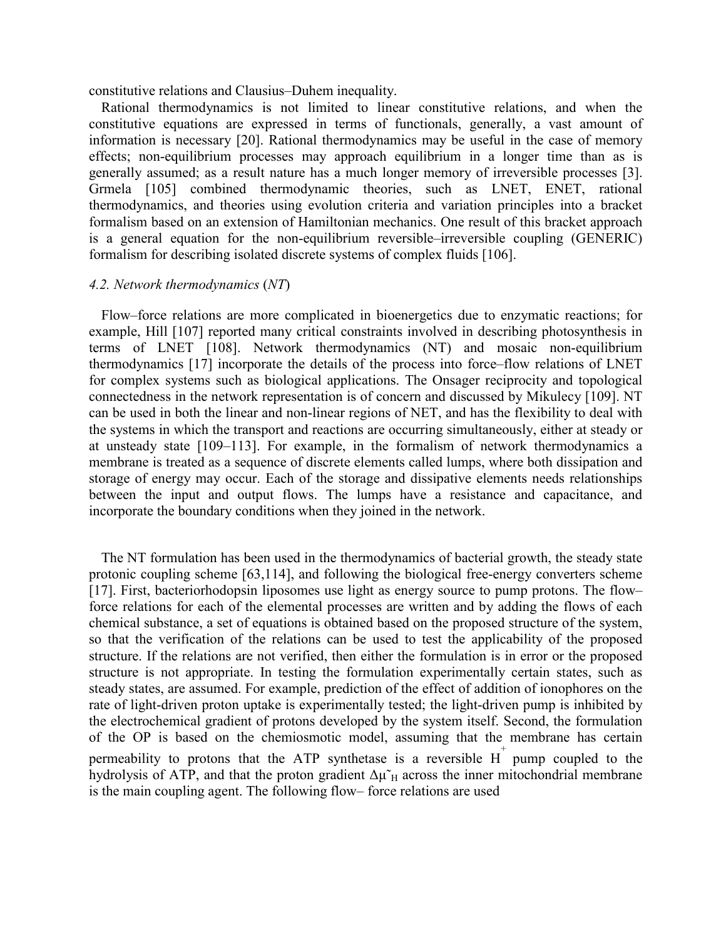constitutive relations and Clausius–Duhem inequality.

Rational thermodynamics is not limited to linear constitutive relations, and when the constitutive equations are expressed in terms of functionals, generally, a vast amount of information is necessary [20]. Rational thermodynamics may be useful in the case of memory effects; non-equilibrium processes may approach equilibrium in a longer time than as is generally assumed; as a result nature has a much longer memory of irreversible processes [3]. Grmela [105] combined thermodynamic theories, such as LNET, ENET, rational thermodynamics, and theories using evolution criteria and variation principles into a bracket formalism based on an extension of Hamiltonian mechanics. One result of this bracket approach is a general equation for the non-equilibrium reversible–irreversible coupling (GENERIC) formalism for describing isolated discrete systems of complex fluids [106].

#### *4.2. Network thermodynamics* (*NT*)

Flow–force relations are more complicated in bioenergetics due to enzymatic reactions; for example, Hill [107] reported many critical constraints involved in describing photosynthesis in terms of LNET [108]. Network thermodynamics (NT) and mosaic non-equilibrium thermodynamics [17] incorporate the details of the process into force–flow relations of LNET for complex systems such as biological applications. The Onsager reciprocity and topological connectedness in the network representation is of concern and discussed by Mikulecy [109]. NT can be used in both the linear and non-linear regions of NET, and has the flexibility to deal with the systems in which the transport and reactions are occurring simultaneously, either at steady or at unsteady state [109–113]. For example, in the formalism of network thermodynamics a membrane is treated as a sequence of discrete elements called lumps, where both dissipation and storage of energy may occur. Each of the storage and dissipative elements needs relationships between the input and output flows. The lumps have a resistance and capacitance, and incorporate the boundary conditions when they joined in the network.

The NT formulation has been used in the thermodynamics of bacterial growth, the steady state protonic coupling scheme [63,114], and following the biological free-energy converters scheme [17]. First, bacteriorhodopsin liposomes use light as energy source to pump protons. The flow– force relations for each of the elemental processes are written and by adding the flows of each chemical substance, a set of equations is obtained based on the proposed structure of the system, so that the verification of the relations can be used to test the applicability of the proposed structure. If the relations are not verified, then either the formulation is in error or the proposed structure is not appropriate. In testing the formulation experimentally certain states, such as steady states, are assumed. For example, prediction of the effect of addition of ionophores on the rate of light-driven proton uptake is experimentally tested; the light-driven pump is inhibited by the electrochemical gradient of protons developed by the system itself. Second, the formulation of the OP is based on the chemiosmotic model, assuming that the membrane has certain permeability to protons that the ATP synthetase is a reversible  $H^+$  pump coupled to the hydrolysis of ATP, and that the proton gradient  $\Delta \mu \tilde{H}$  across the inner mitochondrial membrane is the main coupling agent. The following flow– force relations are used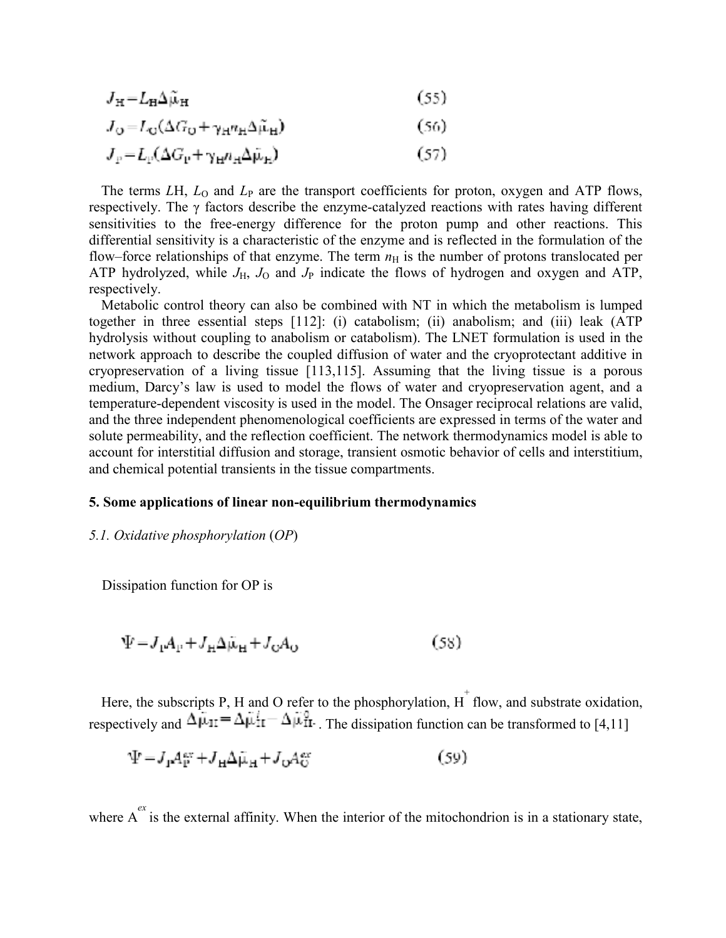$$
J_{\rm H} = L_{\rm H} \Delta \tilde{\mu}_{\rm H} \tag{55}
$$

$$
J_{\mathcal{O}} = L_{\mathcal{O}}(\Delta G_{\mathcal{O}} + \gamma_{\mathcal{H}} n_{\mathcal{H}} \Delta \tilde{\mu}_{\mathcal{H}})
$$
(56)

 $J_p = L_p(\Delta G_p + \gamma_H n_H \Delta \tilde{\mu}_H)$  $(57)$ 

The terms *LH*,  $L_0$  and  $L_P$  are the transport coefficients for proton, oxygen and ATP flows, respectively. The  $\gamma$  factors describe the enzyme-catalyzed reactions with rates having different sensitivities to the free-energy difference for the proton pump and other reactions. This differential sensitivity is a characteristic of the enzyme and is reflected in the formulation of the flow–force relationships of that enzyme. The term  $n<sub>H</sub>$  is the number of protons translocated per ATP hydrolyzed, while  $J_H$ ,  $J_O$  and  $J_P$  indicate the flows of hydrogen and oxygen and ATP, respectively.

Metabolic control theory can also be combined with NT in which the metabolism is lumped together in three essential steps [112]: (i) catabolism; (ii) anabolism; and (iii) leak (ATP hydrolysis without coupling to anabolism or catabolism). The LNET formulation is used in the network approach to describe the coupled diffusion of water and the cryoprotectant additive in cryopreservation of a living tissue [113,115]. Assuming that the living tissue is a porous medium, Darcy's law is used to model the flows of water and cryopreservation agent, and a temperature-dependent viscosity is used in the model. The Onsager reciprocal relations are valid, and the three independent phenomenological coefficients are expressed in terms of the water and solute permeability, and the reflection coefficient. The network thermodynamics model is able to account for interstitial diffusion and storage, transient osmotic behavior of cells and interstitium, and chemical potential transients in the tissue compartments.

#### **5. Some applications of linear non-equilibrium thermodynamics**

#### *5.1. Oxidative phosphorylation* (*OP*)

Dissipation function for OP is

$$
\Psi = J_{\mu}A_{\mu} + J_{\mu}\Delta\mu_{\mu} + J_{\nu}A_{\nu}
$$
\n(58)

Here, the subscripts P, H and O refer to the phosphorylation,  $\overline{H}^+$  flow, and substrate oxidation, respectively and  $\Delta \mu_{1I} = \Delta \mu_{II} - \Delta \mu_{II}^0$ . The dissipation function can be transformed to [4,11]

$$
\Psi = J_{\mathbf{I}} A_{\mathbf{P}}^{\text{av}} + J_{\mathbf{H}} \Delta \tilde{\mu}_{\mathbf{H}} + J_{\mathbf{O}} A_{\mathbf{O}}^{\text{av}} \tag{59}
$$

where  $A^{ex}$  is the external affinity. When the interior of the mitochondrion is in a stationary state,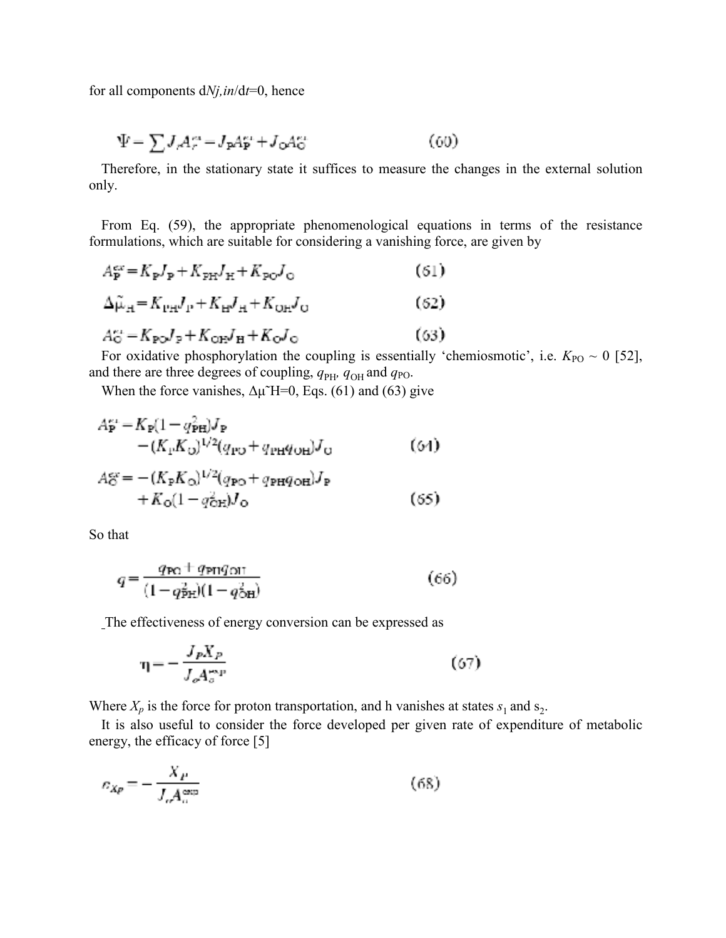for all components d*Nj,in*/d*t*=0, hence

$$
\Psi = \sum J_r A_r^{\alpha} = J_p A_p^{\alpha} + J_o A_o^{\alpha} \tag{60}
$$

Therefore, in the stationary state it suffices to measure the changes in the external solution only.

From Eq. (59), the appropriate phenomenological equations in terms of the resistance formulations, which are suitable for considering a vanishing force, are given by

$$
A_{\mathbf{P}}^{\text{ex}} = K_{\mathbf{P}} J_{\mathbf{P}} + K_{\text{PH}} J_{\mathbf{H}} + K_{\text{PO}} J_{\text{O}}
$$
(61)  
\n
$$
\Delta \tilde{\mu}_{\mathbf{H}} = K_{\text{PH}} J_{\mathbf{P}} + K_{\text{H}} J_{\mathbf{H}} + K_{\text{OH}} J_{\text{O}}
$$
(62)  
\n
$$
A_{\text{O}}^{\text{ex}} = K_{\text{PO}} J_{\text{P}} + K_{\text{OH}} J_{\text{H}} + K_{\text{O}} J_{\text{O}}
$$
(63)

For oxidative phosphorylation the coupling is essentially 'chemiosmotic', i.e.  $K_{PO} \sim 0$  [52], and there are three degrees of coupling,  $q_{\text{PH}}$ ,  $q_{\text{OH}}$  and  $q_{\text{PO}}$ .

When the force vanishes,  $\Delta \mu$ <sup> $\sim$ </sup>H=0, Eqs. (61) and (63) give

$$
A_{\mathbf{P}}^{\mu\nu} = K_{\mathbf{P}} (1 - q_{\mathbf{P} \mathbf{H}}^2) J_{\mathbf{P}} - (K_{\mathbf{P}} K_{\mathbf{O}})^{1/2} (q_{\mathbf{P} \mathbf{O}} + q_{\mathbf{P} \mathbf{H}} q_{\mathbf{O} \mathbf{H}}) J_{\mathbf{O}} \tag{64}
$$

$$
A_{\mathbf{C}}^{\text{cr}} = -(K_{\mathbf{P}}K_{\mathbf{O}})^{1/2}(q_{\mathbf{P}\mathbf{O}} + q_{\mathbf{P}\mathbf{H}}q_{\mathbf{O}\mathbf{H}})J_{\mathbf{P}}+ K_{\mathbf{O}}(1 - q_{\mathbf{O}\mathbf{H}}^2)J_{\mathbf{O}} \tag{65}
$$

So that

$$
q = \frac{q_{\rm PQ} + q_{\rm PH}q_{\rm OH}}{(1 - q_{\rm PH}^2)(1 - q_{\rm OH}^2)}\tag{66}
$$

The effectiveness of energy conversion can be expressed as

$$
\eta = -\frac{J_p X_p}{J_o A_o^{exp}}\tag{67}
$$

Where  $X_p$  is the force for proton transportation, and h vanishes at states  $s_1$  and  $s_2$ .

It is also useful to consider the force developed per given rate of expenditure of metabolic energy, the efficacy of force [5]

$$
E_{Xp} = -\frac{X_p}{J_o A_o^{\exp}}\tag{68}
$$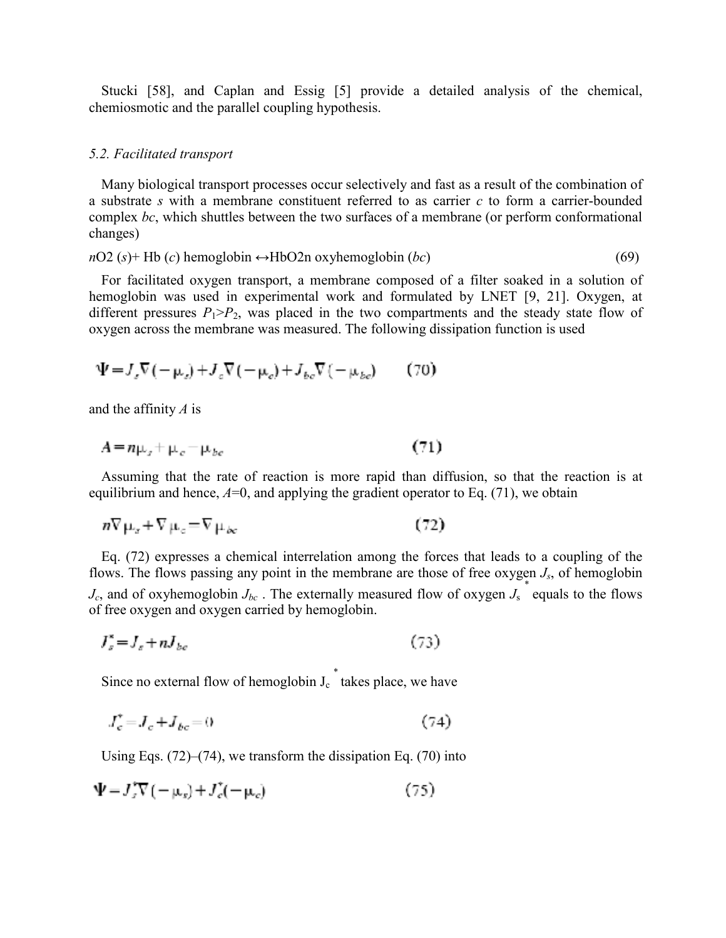Stucki [58], and Caplan and Essig [5] provide a detailed analysis of the chemical, chemiosmotic and the parallel coupling hypothesis.

#### *5.2. Facilitated transport*

Many biological transport processes occur selectively and fast as a result of the combination of a substrate *s* with a membrane constituent referred to as carrier *c* to form a carrier-bounded complex *bc*, which shuttles between the two surfaces of a membrane (or perform conformational changes)

$$
nO2
$$
 (s)+ Hb (c) hemoglobin  $\leftrightarrow$  HbO2n oxyhemoglobin (*bc*) (69)

For facilitated oxygen transport, a membrane composed of a filter soaked in a solution of hemoglobin was used in experimental work and formulated by LNET [9, 21]. Oxygen, at different pressures  $P_1 > P_2$ , was placed in the two compartments and the steady state flow of oxygen across the membrane was measured. The following dissipation function is used

$$
\Psi = J_z \nabla (-\mu_z) + J_z \nabla (-\mu_e) + J_{bc} \nabla (-\mu_{bc}) \tag{70}
$$

and the affinity *A* is

$$
A = n\mu_{\sigma} + \mu_{\sigma} - \mu_{bc} \tag{71}
$$

Assuming that the rate of reaction is more rapid than diffusion, so that the reaction is at equilibrium and hence,  $A=0$ , and applying the gradient operator to Eq. (71), we obtain

$$
n\nabla \mu_x + \nabla \mu_c = \nabla \mu_{bc} \tag{72}
$$

Eq. (72) expresses a chemical interrelation among the forces that leads to a coupling of the flows. The flows passing any point in the membrane are those of free oxygen *Js*, of hemoglobin  $J_c$ , and of oxyhemoglobin  $J_{bc}$ . The externally measured flow of oxygen  $J_s$  equals to the flows of free oxygen and oxygen carried by hemoglobin.

$$
J_s^* = J_s + nJ_{bc} \tag{73}
$$

Since no external flow of hemoglobin  $J_c^*$  takes place, we have

$$
J_c^* = J_c + J_{bc} = 0\tag{74}
$$

Using Eqs. (72)–(74), we transform the dissipation Eq. (70) into

$$
\Psi = J_z^* \nabla \left( -\mu_z \right) + J_c^* (-\mu_c) \tag{75}
$$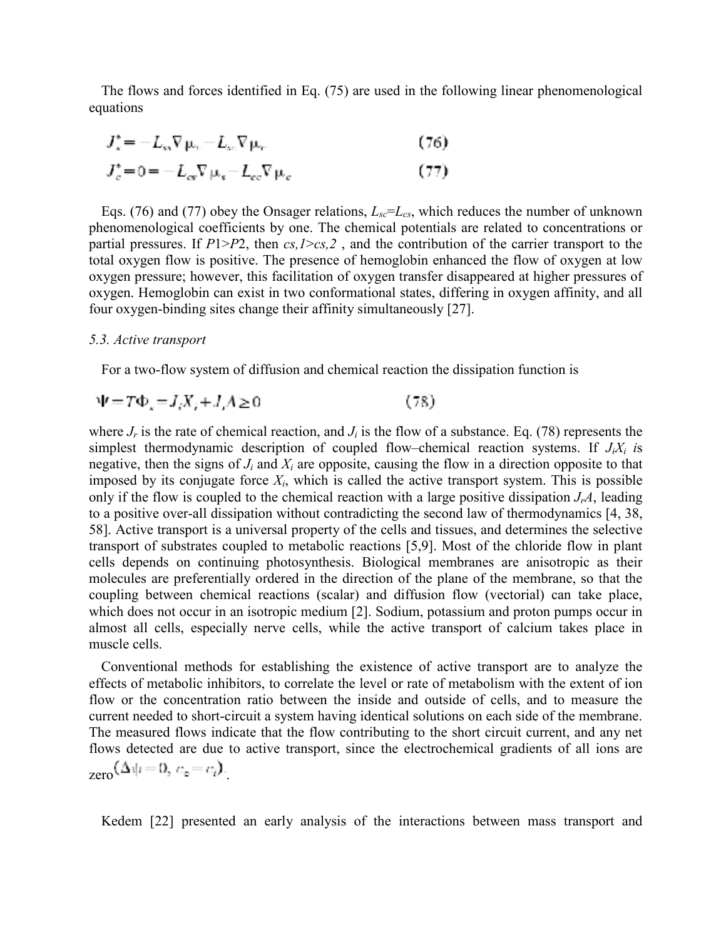The flows and forces identified in Eq. (75) are used in the following linear phenomenological equations

$$
J_x^* = -L_{xx}\nabla \mu_x - L_{xx}\nabla \mu_x
$$
\n(76)

$$
J_c^* = 0 = -L_{cs} \nabla \mu_s - L_{cc} \nabla \mu_c \tag{77}
$$

Eqs. (76) and (77) obey the Onsager relations,  $L_{sc} = L_{cs}$ , which reduces the number of unknown phenomenological coefficients by one. The chemical potentials are related to concentrations or partial pressures. If *P*1>*P*2, then *cs,1*>*cs,2* , and the contribution of the carrier transport to the total oxygen flow is positive. The presence of hemoglobin enhanced the flow of oxygen at low oxygen pressure; however, this facilitation of oxygen transfer disappeared at higher pressures of oxygen. Hemoglobin can exist in two conformational states, differing in oxygen affinity, and all four oxygen-binding sites change their affinity simultaneously [27].

#### *5.3. Active transport*

For a two-flow system of diffusion and chemical reaction the dissipation function is

$$
\Psi = T\Phi_x = J_i X_i + J_i A \ge 0 \tag{78}
$$

where  $J_r$  is the rate of chemical reaction, and  $J_i$  is the flow of a substance. Eq. (78) represents the simplest thermodynamic description of coupled flow–chemical reaction systems. If *JiXi i*s negative, then the signs of *Ji* and *Xi* are opposite, causing the flow in a direction opposite to that imposed by its conjugate force  $X_i$ , which is called the active transport system. This is possible only if the flow is coupled to the chemical reaction with a large positive dissipation  $J_rA$ , leading to a positive over-all dissipation without contradicting the second law of thermodynamics [4, 38, 58]. Active transport is a universal property of the cells and tissues, and determines the selective transport of substrates coupled to metabolic reactions [5,9]. Most of the chloride flow in plant cells depends on continuing photosynthesis. Biological membranes are anisotropic as their molecules are preferentially ordered in the direction of the plane of the membrane, so that the coupling between chemical reactions (scalar) and diffusion flow (vectorial) can take place, which does not occur in an isotropic medium [2]. Sodium, potassium and proton pumps occur in almost all cells, especially nerve cells, while the active transport of calcium takes place in muscle cells.

Conventional methods for establishing the existence of active transport are to analyze the effects of metabolic inhibitors, to correlate the level or rate of metabolism with the extent of ion flow or the concentration ratio between the inside and outside of cells, and to measure the current needed to short-circuit a system having identical solutions on each side of the membrane. The measured flows indicate that the flow contributing to the short circuit current, and any net flows detected are due to active transport, since the electrochemical gradients of all ions are

 $_{\rm zero}(\Delta \psi = 0, c_{\rm e} = c_i).$ 

Kedem [22] presented an early analysis of the interactions between mass transport and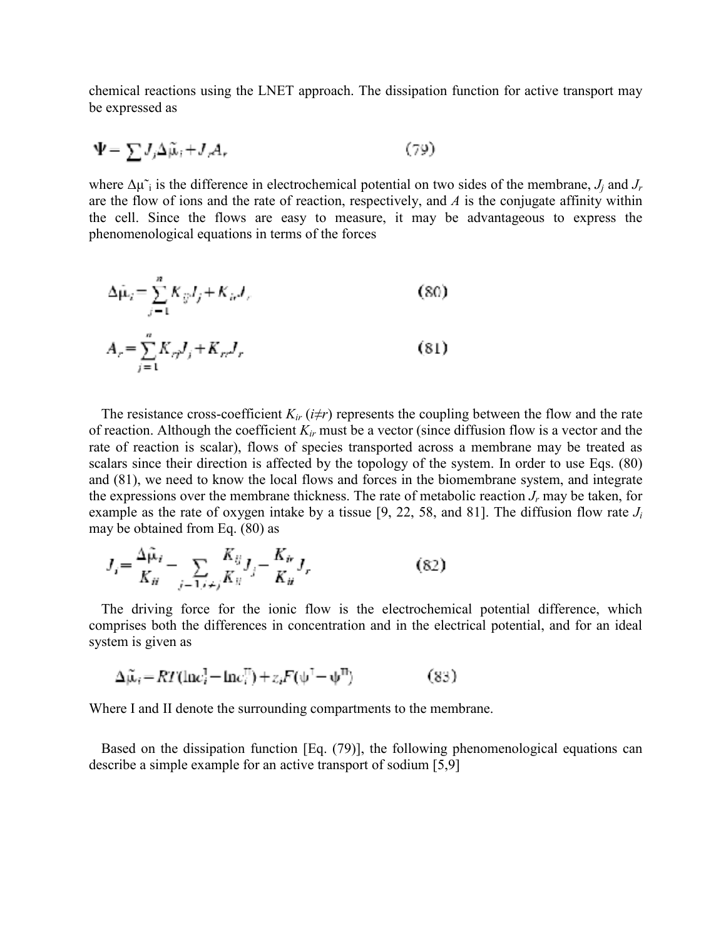chemical reactions using the LNET approach. The dissipation function for active transport may be expressed as

$$
\Psi = \sum J_j \Delta \tilde{\mu}_j + J_r A_r \tag{79}
$$

where  $\Delta \mu \tilde{i}$  is the difference in electrochemical potential on two sides of the membrane,  $J_i$  and  $J_r$ are the flow of ions and the rate of reaction, respectively, and *A* is the conjugate affinity within the cell. Since the flows are easy to measure, it may be advantageous to express the phenomenological equations in terms of the forces

$$
\Delta \hat{\mu}_i = \sum_{j=1}^n K_{ij} I_j + K_{i\sigma} I_j,
$$
\n
$$
A_r = \sum_{j=1}^n K_{rj} I_j + K_{rr} I_r
$$
\n(80)

The resistance cross-coefficient  $K_{ir}$  ( $i \neq r$ ) represents the coupling between the flow and the rate of reaction. Although the coefficient *Kir* must be a vector (since diffusion flow is a vector and the rate of reaction is scalar), flows of species transported across a membrane may be treated as scalars since their direction is affected by the topology of the system. In order to use Eqs. (80) and (81), we need to know the local flows and forces in the biomembrane system, and integrate the expressions over the membrane thickness. The rate of metabolic reaction  $J_r$  may be taken, for example as the rate of oxygen intake by a tissue [9, 22, 58, and 81]. The diffusion flow rate *Ji* may be obtained from Eq. (80) as

$$
J_{i} = \frac{\Delta \tilde{\mu}_{i}}{K_{ii}} - \sum_{j=1, i \neq j} \frac{K_{ij}}{K_{ii}} J_{j} - \frac{K_{ir}}{K_{ii}} J_{r}
$$
(82)

The driving force for the ionic flow is the electrochemical potential difference, which comprises both the differences in concentration and in the electrical potential, and for an ideal system is given as

$$
\Delta \tilde{\mu}_i = RT(\ln c_i^{\mathsf{T}} - \ln c_i^{\mathsf{T}}) + z_i F(\psi^{\mathsf{T}} - \psi^{\mathsf{T}})
$$
(83)

Where I and II denote the surrounding compartments to the membrane.

Based on the dissipation function [Eq. (79)], the following phenomenological equations can describe a simple example for an active transport of sodium [5,9]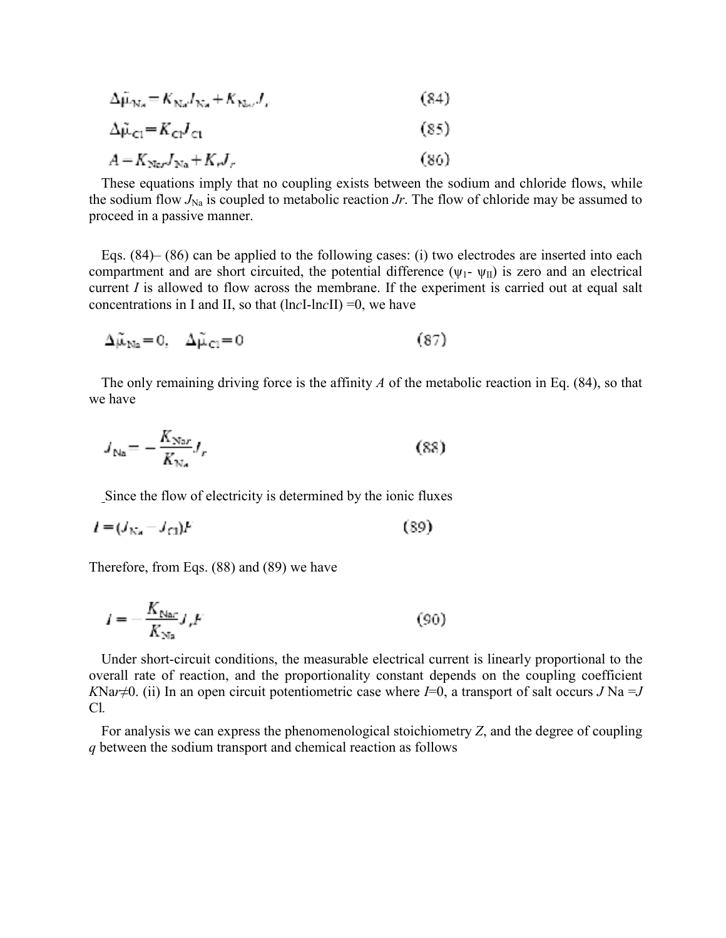$$
\Delta \mu_{\text{Na}} = K_{\text{Na}} I_{\text{Na}} + K_{\text{Na}} I_r \tag{84}
$$

$$
\Delta \tilde{\mu}_{\rm cl} = K_{\rm cl} J_{\rm cl} \tag{85}
$$

$$
A = K_{\text{Ne}r} J_{\text{Na}} + K_r J_r \tag{86}
$$

These equations imply that no coupling exists between the sodium and chloride flows, while the sodium flow  $J_{\text{Na}}$  is coupled to metabolic reaction  $Jr$ . The flow of chloride may be assumed to proceed in a passive manner.

Eqs. (84)– (86) can be applied to the following cases: (i) two electrodes are inserted into each compartment and are short circuited, the potential difference  $(\psi_1 \cdot \psi_{\text{II}})$  is zero and an electrical current *I* is allowed to flow across the membrane. If the experiment is carried out at equal salt concentrations in I and II, so that (ln*c*I-ln*c*II) =0, we have

$$
\Delta \tilde{\mu}_{\text{Na}} = 0, \quad \Delta \tilde{\mu}_{\text{Cl}} = 0 \tag{87}
$$

The only remaining driving force is the affinity *A* of the metabolic reaction in Eq. (84), so that we have

$$
J_{\text{Na}} = -\frac{K_{\text{Na}r}}{K_{\text{Na}}}J_r \tag{88}
$$

Since the flow of electricity is determined by the ionic fluxes

$$
l = (J_{\text{Na}} - J_{\text{Cl}})F \tag{89}
$$

Therefore, from Eqs. (88) and (89) we have

$$
I = -\frac{K_{\text{Nar}}}{K_{\text{Nar}}} J_r F \tag{90}
$$

Under short-circuit conditions, the measurable electrical current is linearly proportional to the overall rate of reaction, and the proportionality constant depends on the coupling coefficient *KNar* $\neq$ 0. (ii) In an open circuit potentiometric case where *I*=0, a transport of salt occurs *J* Na =*J* Cl*.*

For analysis we can express the phenomenological stoichiometry *Z*, and the degree of coupling *q* between the sodium transport and chemical reaction as follows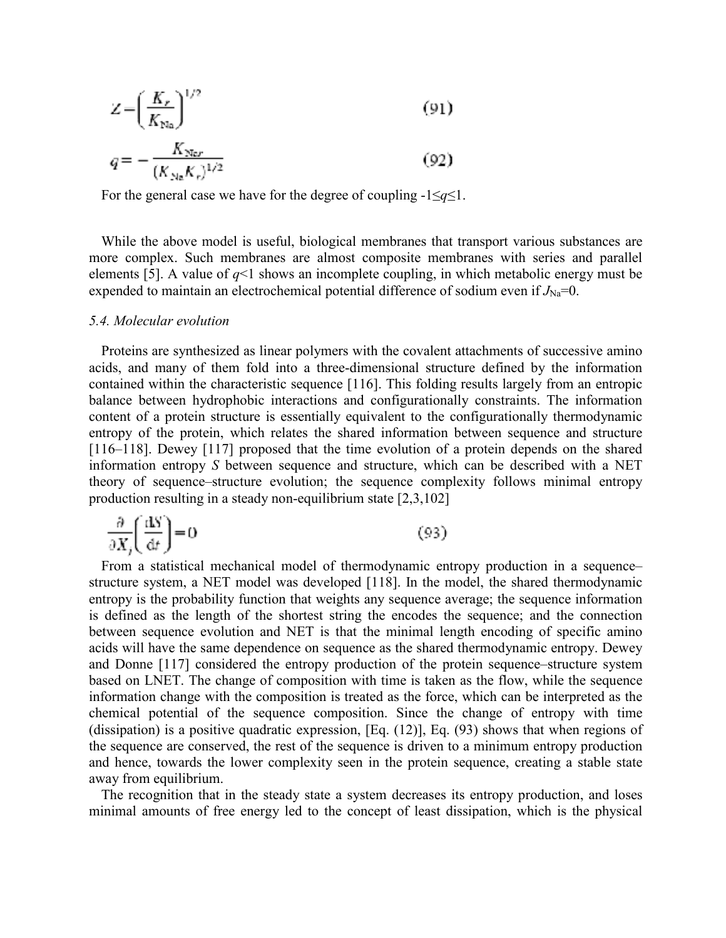$$
Z = \left(\frac{K_r}{K_{\text{Na}}}\right)^{1/2} \tag{91}
$$

$$
q = -\frac{K_{\text{Nor}}}{\left(K_{\text{Ng}}K_r\right)^{1/2}}\tag{92}
$$

For the general case we have for the degree of coupling  $-1 \leq q \leq 1$ .

While the above model is useful, biological membranes that transport various substances are more complex. Such membranes are almost composite membranes with series and parallel elements [5]. A value of  $q<1$  shows an incomplete coupling, in which metabolic energy must be expended to maintain an electrochemical potential difference of sodium even if  $J_{Na}$ =0.

#### *5.4. Molecular evolution*

Proteins are synthesized as linear polymers with the covalent attachments of successive amino acids, and many of them fold into a three-dimensional structure defined by the information contained within the characteristic sequence [116]. This folding results largely from an entropic balance between hydrophobic interactions and configurationally constraints. The information content of a protein structure is essentially equivalent to the configurationally thermodynamic entropy of the protein, which relates the shared information between sequence and structure [116–118]. Dewey [117] proposed that the time evolution of a protein depends on the shared information entropy *S* between sequence and structure, which can be described with a NET theory of sequence–structure evolution; the sequence complexity follows minimal entropy production resulting in a steady non-equilibrium state [2,3,102]

$$
\frac{\partial}{\partial X_j} \left( \frac{\text{d}S}{\text{d}t} \right) = 0 \tag{93}
$$

From a statistical mechanical model of thermodynamic entropy production in a sequence– structure system, a NET model was developed [118]. In the model, the shared thermodynamic entropy is the probability function that weights any sequence average; the sequence information is defined as the length of the shortest string the encodes the sequence; and the connection between sequence evolution and NET is that the minimal length encoding of specific amino acids will have the same dependence on sequence as the shared thermodynamic entropy. Dewey and Donne [117] considered the entropy production of the protein sequence–structure system based on LNET. The change of composition with time is taken as the flow, while the sequence information change with the composition is treated as the force, which can be interpreted as the chemical potential of the sequence composition. Since the change of entropy with time (dissipation) is a positive quadratic expression, [Eq. (12)], Eq. (93) shows that when regions of the sequence are conserved, the rest of the sequence is driven to a minimum entropy production and hence, towards the lower complexity seen in the protein sequence, creating a stable state away from equilibrium.

The recognition that in the steady state a system decreases its entropy production, and loses minimal amounts of free energy led to the concept of least dissipation, which is the physical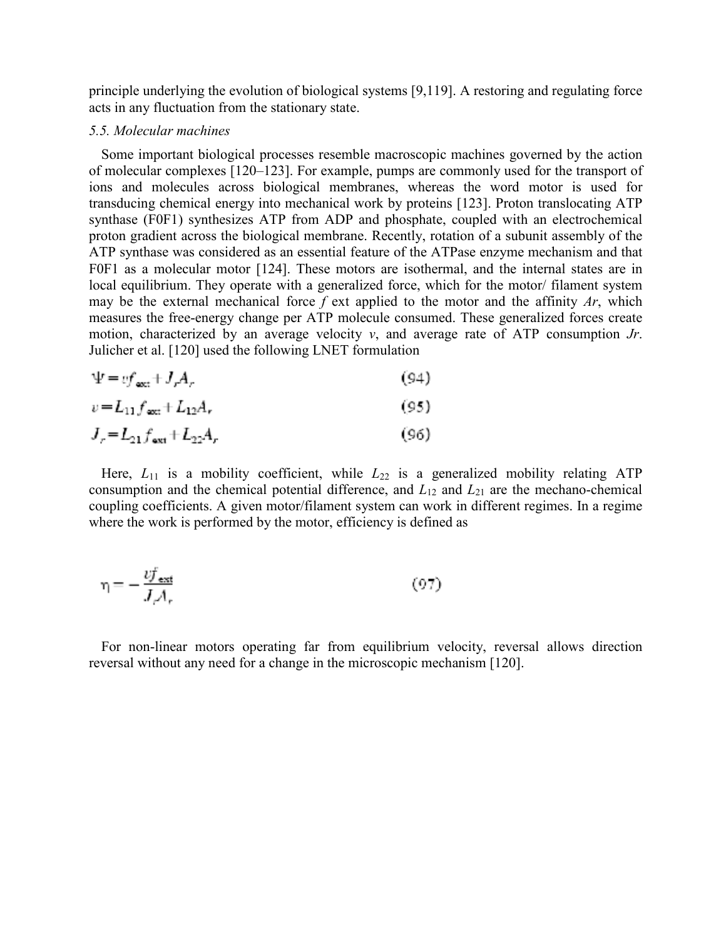principle underlying the evolution of biological systems [9,119]. A restoring and regulating force acts in any fluctuation from the stationary state.

#### *5.5. Molecular machines*

Some important biological processes resemble macroscopic machines governed by the action of molecular complexes [120–123]. For example, pumps are commonly used for the transport of ions and molecules across biological membranes, whereas the word motor is used for transducing chemical energy into mechanical work by proteins [123]. Proton translocating ATP synthase (F0F1) synthesizes ATP from ADP and phosphate, coupled with an electrochemical proton gradient across the biological membrane. Recently, rotation of a subunit assembly of the ATP synthase was considered as an essential feature of the ATPase enzyme mechanism and that F0F1 as a molecular motor [124]. These motors are isothermal, and the internal states are in local equilibrium. They operate with a generalized force, which for the motor/ filament system may be the external mechanical force *f* ext applied to the motor and the affinity *Ar*, which measures the free-energy change per ATP molecule consumed. These generalized forces create motion, characterized by an average velocity *v*, and average rate of ATP consumption *Jr*. Julicher et al. [120] used the following LNET formulation

$$
\Psi = vf_{\text{ext}} + J_r A_r
$$
\n(94)  
\n
$$
v = L_{11} f_{\text{ext}} + L_{12} A_r
$$
\n(95)  
\n
$$
J_r = L_{21} f_{\text{ext}} + L_{22} A_r
$$
\n(96)

Here,  $L_{11}$  is a mobility coefficient, while  $L_{22}$  is a generalized mobility relating ATP consumption and the chemical potential difference, and *L*12 and *L*21 are the mechano-chemical coupling coefficients. A given motor/filament system can work in different regimes. In a regime where the work is performed by the motor, efficiency is defined as

$$
\eta = -\frac{v f_{\text{ext}}}{J A_r} \tag{97}
$$

For non-linear motors operating far from equilibrium velocity, reversal allows direction reversal without any need for a change in the microscopic mechanism [120].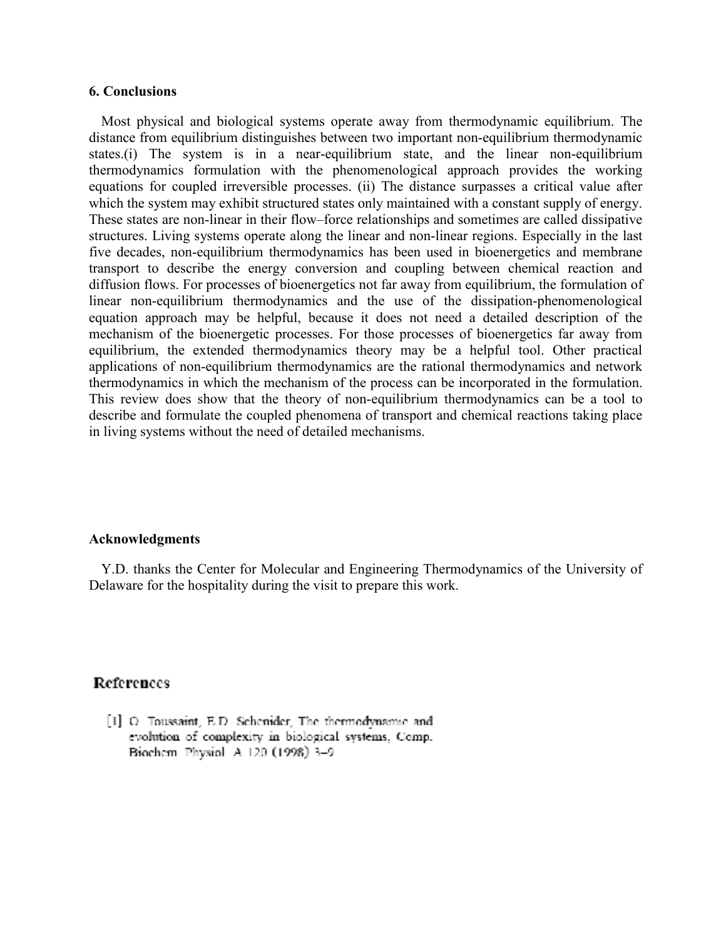#### **6. Conclusions**

Most physical and biological systems operate away from thermodynamic equilibrium. The distance from equilibrium distinguishes between two important non-equilibrium thermodynamic states.(i) The system is in a near-equilibrium state, and the linear non-equilibrium thermodynamics formulation with the phenomenological approach provides the working equations for coupled irreversible processes. (ii) The distance surpasses a critical value after which the system may exhibit structured states only maintained with a constant supply of energy. These states are non-linear in their flow–force relationships and sometimes are called dissipative structures. Living systems operate along the linear and non-linear regions. Especially in the last five decades, non-equilibrium thermodynamics has been used in bioenergetics and membrane transport to describe the energy conversion and coupling between chemical reaction and diffusion flows. For processes of bioenergetics not far away from equilibrium, the formulation of linear non-equilibrium thermodynamics and the use of the dissipation-phenomenological equation approach may be helpful, because it does not need a detailed description of the mechanism of the bioenergetic processes. For those processes of bioenergetics far away from equilibrium, the extended thermodynamics theory may be a helpful tool. Other practical applications of non-equilibrium thermodynamics are the rational thermodynamics and network thermodynamics in which the mechanism of the process can be incorporated in the formulation. This review does show that the theory of non-equilibrium thermodynamics can be a tool to describe and formulate the coupled phenomena of transport and chemical reactions taking place in living systems without the need of detailed mechanisms.

#### **Acknowledgments**

Y.D. thanks the Center for Molecular and Engineering Thermodynamics of the University of Delaware for the hospitality during the visit to prepare this work.

# References

[1] O. Toussaint, E.D. Schemder, The thermodynamic and evolution of complexity in biological systems, Comp. Biochem Physiol A 120 (1998) 3-9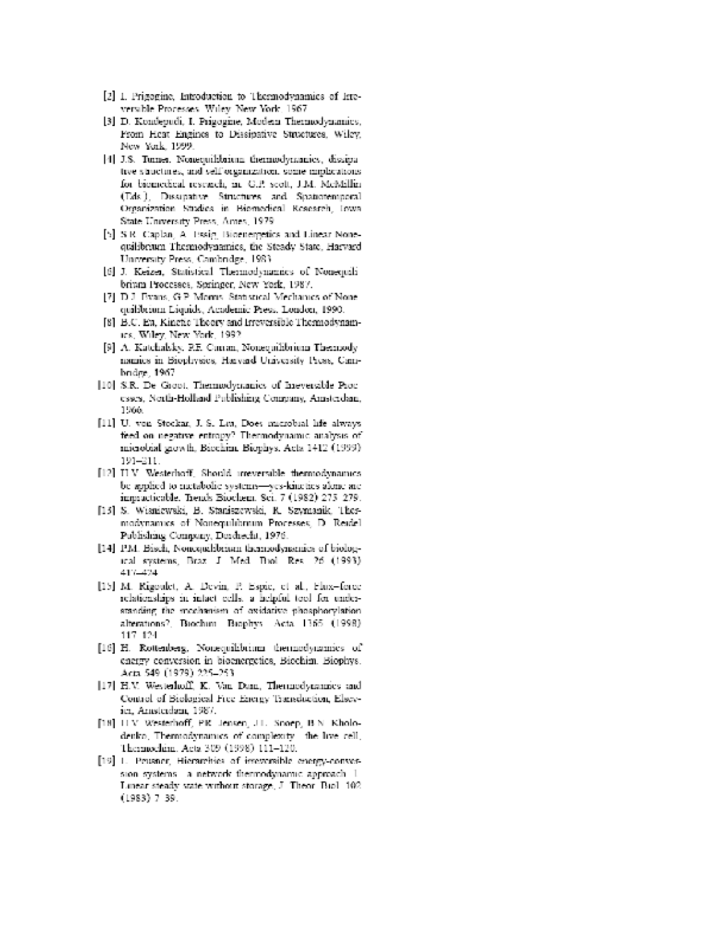- [2] I. Prigogine, Introduction to Thermodynamics of Irreversible Processes, Wiley New York, 1967.
- [3] D. Kondepudi, I. Prigogine, Modern Thermodynamics, From Heat Engines to Dissipative Structures, Wiley, New York, 1999.
- [4] J.S. Turner, Nonequilibrium thermodynamics, dissipative structures, and self-organization, some implications for biomedical research, in: G.P. scott, J.M. McMillin (Eds.), Dissipative Structures and Spatiotemporal Organization Studies in Biomedical Research, Iowa State University Press, Ames, 1979.
- [5] S.R. Caplan, A. Essig, Bioenergetics and Linear Nonequilibrium Thermodynamics, the Steady State, Harvard University Press, Cambridge, 1983.
- [6] J. Keizer, Statistical Thermodynamics of Nonequilibrium Processes, Soringer, New York, 1987.
- [7] D.J. Evans, G.P. Momis. Statistical Mechanics of None quibbrium Liquids, Academic Press, London, 1990.
- [8] B.C. Ea, Kinetic Theory and Irreversible Thermodynamics, Wiley, New York, 1992
- [9] A. Katchalsky, P.E. Cuman, Nonequilibrium Thermodynamics in Biophysics, Harvard University Press, Cambridge, 1967.
- [10] S.R. De Groot, Themodynamics of Ineversible Processes, North-Holland Publishing Company, Anisterdam, 1966.
- [11] U. von Stockar, J. S. Les, Does microbial life always feed on negative entropy? Thermodynamic analysis of microbial growth, Biochine Biophys. Acts 1412 (1999). 191-211.
- [12] H.V. Westerhoff, Should inteversible thermodynamics be applied to metabolic systems-yes-kineties alone are impracticable. Trends Biochem. Sci. 7 (1982) 275-279.
- [15] S. Wisniewski, B. Staniszewski, R. Szymanik, Thesmodynamics of Nonequilibrium Processes, D. Reidel. Publishing Company, Dorchecht, 1976.
- [14] P.M. Bisch, Noncquibbrium themsodynamics of biological systems, Braz J Med Biol Res. 26 (1993). 417.1474
- [15] M. Rigoulet, A. Devin, P. Espie, et al., Flux-force relationships in intact cells, a helpful tool for understanding the mechanism of oxidative phosphorylation. alterations?, Biochim Biophys Acta 1365 (1998). 117 124
- [16] H. Rottenberg, Nonequilibrium thermodynamics of energy conversion in bioenergetics, Biochim. Biophys. Acta 549 (1979) 225-253
- [17] H.V. Westerhoff, K. Van Dam, Thermodynamics and Control of Biological Free Energy Transduction, Elsevici, Amsterdam, 1987.
- [18] H.V. Westerhoff, P.R. Jensen, J.L. Snoep, B.N. Kholodenko, Thermodynamics of complexity the live cell, Thermockim, Acta 309 (1998) 111-120.
- [19] L. Peusner, Hierarchies of irreversible energy-conversion systems - a network thermodynamic approach -1. Linear steady state without storage, J. Theor. Biol. 102.  $(1983)$  7 39.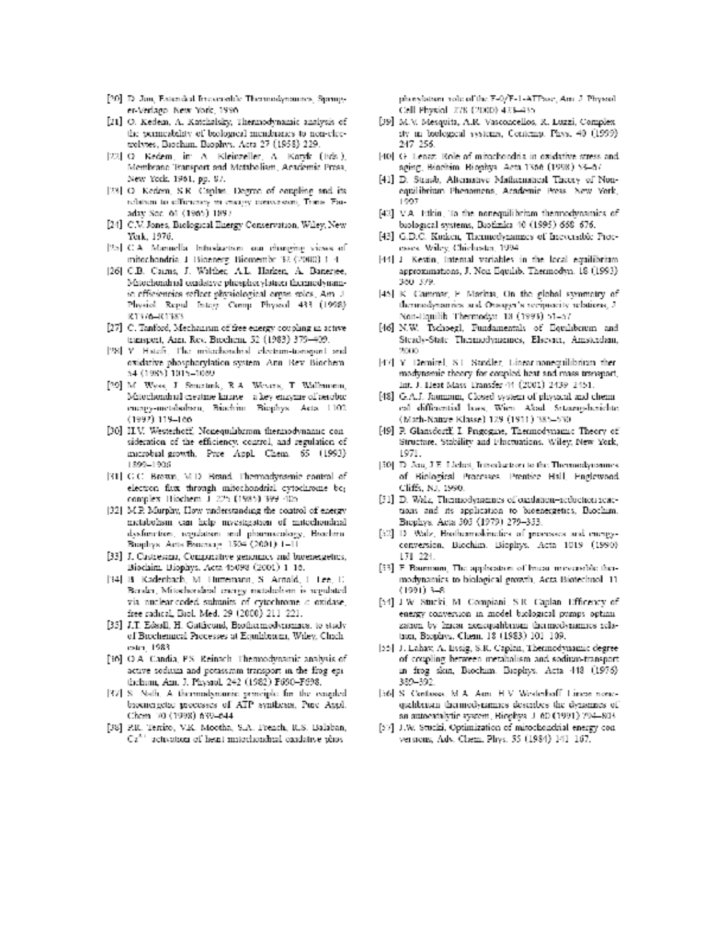- [20] D. Jon, Entended Inconnelale Thermodynamics, Springer-Verlago, New York, 1996.
- [21] O. Kedem, A. Katchalsky, Thermodynamic analysis of the permeability of biological membranes to non-cleetrolytes, Baochum, Baophys, Acta 27 (1958) 229.
- [22] O. Kedem, in: A. Kleinzeller, A. Kotyk (Bds.), Membrane Transport and Metaboliam, Academic Press, New York, 1961, pp. 87.
- [23] O. Kedem, S.R. Caplan, Degree of coupling and its. relation to efficiency in energy conversion, Trans. Facadax Soc. 61 (1965) 1897.
- [24] C.V. Jones, Biological Energy Conservation, Wiley, New Yerk, 1976.
- [25] C.A. Mannella Infroduction can changing views of mitochondria, J. Bioenerg, Biomembr. 32 (2000) 1-4.
- [26] C.B. Carms, J. Walther, A.L. Harken, A. Banerjee, Mitochondrial oxidative phespherylation thermodynamic efficiencies reflect physiological organ roles, Am J. Physiol Regal Integr Comp Physiol 433 (1998). R1576-R1385
- [27] C. Tanford, Mechanism of free energy coupling in active transport, Ann. Rev. Brechent, 52 (1983) 379-409.
- [28] Y. Hatch, The mitochondrial electron-tomeon) and oxidative phosphorylation system. Ann. Rev. Biochem. 54 (1985) 1015-1089
- [29] M. Wyss, J. Smertink, R.A. Wessex, T. Wallmoon, Mitochondinal creatine kinase - a key enzyme of aerobic encagy-metabolism, Biochim Biophys Asta 1102.  $(1992)$  119-100
- [30] H.V. Westerhoff, Nonequilibrium thermodynamic consideration of the efficiency, control, and regulation of microbial growth. Pree Appl. Chem. 65 (1993). 1899-1906
- [31] G.C. Brewn, M.D. Brand, Thermodynamic control of electron flux through mitochondrial cytochrome bc; complex Biochem J 225 (1985) 399-405.
- [32] M.P. Murphy, How understanding the control of energy metabolism can help investigation of initechondrial dysfunction, regulation and pharmacology, Biochira-Brophys. Acts Brochurg. 1504 (2001) 1-11
- [33] J. Castresana, Comparative genomics and bioenergetics, Bioclaim. Biophys. Acta 45098 (2001) 1-16.
- [34] B. Kadenbach, M. Huttemann, S. Arnold, J. Lee, U. Berska, Mitochorskist energy metabolism is regulated. via nuclear-coded subunits of cytochrome a oxidase, free radical, Biol. Med. 29 (2000) 211-221.
- [35] J.T. Edssil, H. Gatticumi, Beothermodynamics, to study of Brochenacal Processes at Equilibrium, Wiley, Chichestri 1983
- [36] O.A. Candia, P.S. Reinach, Thermodynamic analysis of active sodium and potassmm transport in the frog epithelmin, Am. J. Physiol. 242 (1982) F690-F698.
- [37] S. Nath, A. thermodynamic principle for the coupled broancrgetee processes of ATP syntheses, Pure Appl. Chem 10 (1998) 639-644
- [38] P.R. Territo, V.K. Mootha, S.A. French, R.S. Balaban,  $Ca^{2+}$  activation of heat initerionshial candative phos-

phorylation role of the F-0/F-1-ATPsac, Am J. Physiol. Cell Physiol 778 (2000) 473-435

- [39] M.V. Mesquita, A.R. Vasconcellos, R. Luzzi, Complex. sty an boological systems, Contemp. Phys. 40 (1999). 247-256.
- [40] G. Lenaz. Role of mitochondria in oxidative stress and. sging, Biochim Biophys. Acts 1366 (1998) 53-67.
- [41] D. Straub, Alternative Mathematical Theory of Nonequilibrium Phenomena, Academic Press. New York, 1997
- [42] V.A. Etkin, To the nonequilibrium thennodynamics of buological systems, Buožizika 40 (1995) 668-676.
- [43] G.D.C. Korken, Thermodynamics of Incoensible Proccsses Wiley, Chichoster, 1994.
- [44] J. Kestin, Internal variables in the local equilibrium. approximations, J. Non Equilib. Thermodyn. 18 (1993). 360-379.
- [45] K. Cammar, F. Markus, On the global symmetry of thermodynamics and Onsager's recipiecity relations, J. Non-Equilib Thermodyn 13 (1993) 51–57.
- [46] N.W. Tschoegl, Fundamentals of Equilibrium and Steady-State Thermodynamics, Elsevier, Amsterdam, 2000
- [47] Y. Demirel, S.I. Sandler, Linear nonequilibrium then modynamic theory for coupled heat and mass transport, Int. J. Heat Mass Transfer 44 (2001) 2439-2451.
- [48] G.A.J. Jaumann, Closed system of physical and chemical differential laws, Wien Akad. Sitzung-herichte (Math-Nature Klasse) 129 (1911) 385-530
- [49] P. Glansdorff, I. Prigogine, Thermodynamic Theory of Structure, Stability and Phictuations. Wiley, New York, 1971.
- [50] D. Jea, J.E. Liebet, Introduction to the Thermodynamics. of Biological Processes, Prentice Hall, Englewood, Cliffs, NJ, 1990.
- [51] D. Walz, Thermodynamics of oardation-reduction reactions and its application to bioenergetics, Biochim. Brophys. Acta 505 (1979) 279-353.
- [52] D. Walz, Biothermolencties of presesses and energyconversion, Biochim. Biophys. Acta 1019 (1990). 171-224
- [53] F Baumann, The application of Imean meversible theimodynamics to biological growth, Acta Biotechnol. 11  $(1991)$  3.48
- [54] J W Stucki, M. Compiani, S R. Caplan. Efficency of energy conversion in model biological pumps optimization by hirear nonequalibrium thermodynamics relation, Beophys. Chem. 18 (1983) 101-109.
- [55] J. Lahav, A. Essig, S.R. Caplan, Thermodynamic degreeof coupling between metabolism and sodium-transportin frog skin, Biochim. Biophys. Acta 448 (1976). 389-392.
- [56] S. Centassa, M.A. Aon, H.V. Westerhoff Linese nemqualibration thermodynamics describes the dynamics of an autocatalytic system, Biophys. J. 60 (1991) 794-803.
- [57] J.W. Stucki, Optimization of mitochondrial energy conversions, Adv. Chem. Phys. 55 (1984) 141-167.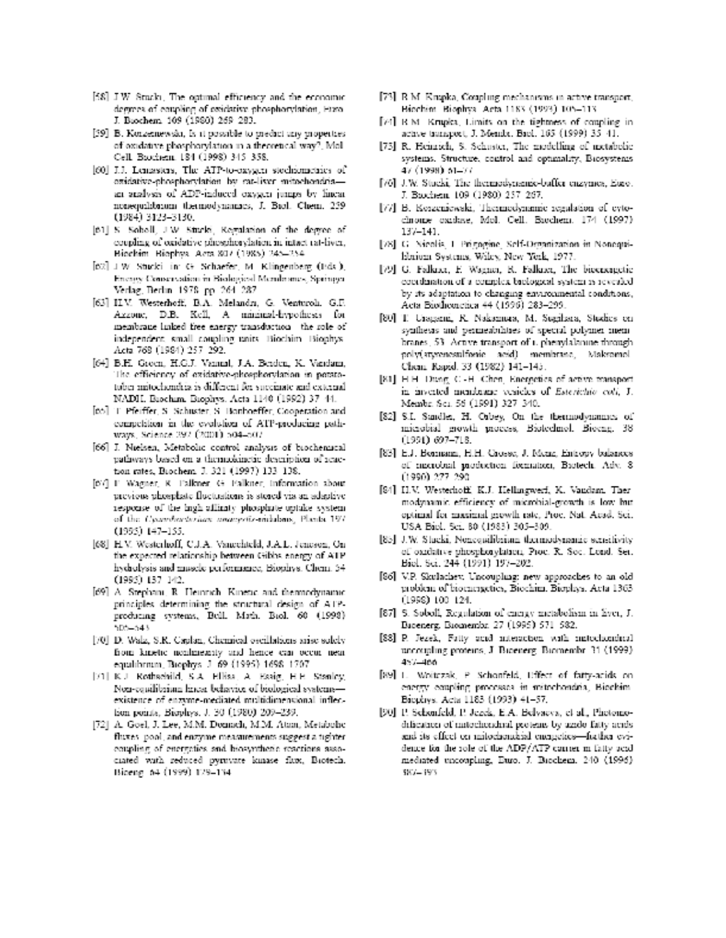- [58] J.W. Stucki, The optimal efficiency and the economic degrees of coupling of exidative phosphorylation, Furo-J. Brochem, 109 (1980) 269-283.
- [39] B. Konzennewski, Is it possible to predict any properties of oxidative phosphorylation in a theoretical way?, Mol-Cell Brochem 184 (1998) 345-358.
- [60] J.J. Lemasters, The ATP-to-exygen stochiometries of essidative-phosphorylation by rat-liver mitochondriaan analysis of ADP-induced excepts jumps by linear nonequilibrium thermodynamics, J. Biol. Chem. 259  $(1984)$  3123-3130.
- [61] S. Soboll, J.W. Sturki, Regulation of the degree of coupling of oxidative phosphorylation in intact rat-liver, Biochim. Biophys. Acts 307 (1985) 245-254.
- [62] J.W. Stucki in: G. Schaefer, M. Klingenberg (Eds.), Energy Conservation in Biological Membranes, Springer Verlag, Berlin 1978 pp. 264-287.
- [63] H.V. Westerhoff, B.A. Melandri, G. Venturoli, G.E. Azzone, D.B. Kell, A minimal-hypothesis for membrane linked free energy transduction the role of independent small coupling units Biochim Biophys. Acta 768 (1984) 257-292.
- [64] B.H. Groen, H.G.J. Vannal, J.A. Berden, K. Vandam, The efficiency of exidative-phosphorylation in potatotober mitochondria is different for succinate and external NADH, Buocham, Buophys, Acta 1140 (1992) 37-44.
- [co] T. Pfeiffer, S. Schuster, S. Bonhoeffer, Cooperation and competition in the evolution of ATP-producing pathways, Science 292 (2001) 504-507
- [66] J. Nielsen, Metabolic control analysis of biochemical pathways based on a thermokinetic description of reaction rates, Brochem, J. 321 (1997) 133-138.
- [67] F. Wagner, R. Falkner, G. Falkner, Information about previous phosphate fluctuations is stored via an adaptive. response of the ingli affinity phosphate uptake system. of the Cyanobucterium amageriz-milalans, Planta 1971 (1995) 147-155.
- [68] H.V. Westerhoff, C.J.A. Vancehteld, J.A.L. Jenesen, Onthe expected relationship between Gibbs energy of ATP. hydrolysis and masele performance, Biophys. Chem. 54.  $(1995)$  137 142.
- $[69]$  A. Stephani, R. Heinrich, Kinetic and thermodynamic principles determining the structural design of ATPproducing systems, Boll, Math. Biol. 60 (1998).  $500 - 543$
- [70] D. Walz, S.R. Caplan, Chennical oveillations arise solely from kinetic nonlinearity and hence can occur near equilibrium, Biophys. J. 69 (1995) 1698-1707.
- [71] K.J. Rothschild, S.A. Ellisa, A. Essig, H.H. Stanley, Non-equilibrium linear behavior of biological systemsexistence of enzyme-mediated multidimensional inflection points, Biophys, J. 30 (1980) 209-239.
- [72] A. Goel, J. Lee, M.M. Donnich, M.M. Atan, Metabolic. fluxes, pool, and enzyme measurements suggest a tighter. coupling of energeties and biosynthesic reactions associated with reduced pyruvate kinase flox, Biotech. Bioeng 64 (1999) 129-134.
- [73] R.M. Knapka, Coupling mechanisms in active transport, Hiochim Biophys Acts 1183 (1993) 105-113.
- $[\mathscr{P}]$  R.M. Krupka, Limits on the tightness of coupling in active transport, J. Mendx, Baol, 165 (1999) 35-41.
- [75] R. Heimich, S. Schuster, The modelling of metabolic systems. Structure, control and optimality, Biosystems. 47 (1998) 61–77
- [76] J.W. Stucki, The thermodynamic-buffer enzymes, Euro. J. Baochem. 109 (1980) 257-267.
- [77] B. Korzeniewski, Thermodynamic regulation of cytochrome oxidase, Mol. Cell. Barchem. 174 (1997).  $137 - 141.$
- [78] G. Nicolis J. Prigogine, Self-Organization in Nonequiliknium Systems, Wiley, New York, 1977.
- [79] G. Falkna, F. Wagnor, R. Falkner, The bioeneagetic coordination of a complex biological system is revealed. by its adaptation to changing environmental conditions, Acta Biothemetica 44 (1996) 283-299.
- [80] T. Uragami, R. Nakamura, M. Sugilasta, Studies ett synthesis and permeabilities of special polymer membranes, 53. Active transport of it phenylalabine through. poly(styrenesulfonic acid) membrane, Makromol, Chem. Rapid. 33 (1982) 141-145.
- [81] H.H. Dung, C.-H. Chen, Energetics of active transport. in invested membrane vesicles of Esterichio coli, J. Membr. Sci. 56 (1991) 327-340.
- [82] S.I. Sandler, H. Orbey, On the thermodynamics of microbial growth process. Biotechnol, Biocag, 38 (1991) 697-718.
- [83] E.J. Bonnann, H.H. Grosse, J. Menz, Entropy balances, of morrobial production formation, Biotech, Adv. 8,  $(1990)$  277 290
- [84] H.V. Westerhoff, K.J. Hellingwerf, K. Vandam, Thermodynamic efficiency of microbial-growth is low but optimal for maximal growth rate, Proc. Nat. Acad. Sci., USA Biol. Sci. 80 (1983) 305-309.
- [85] J.W. Stucki, Noncquilibrian thermodynamic sensitivity of oxidative phosphorylation, Proc. R. Soc. Lond. Set. Biol. Sci. 244 (1991) 197-202.
- [86] V.P. Skulachev, Uncoupling; new approaches to an oldproblem of bioenergeties, Biochim, Biophys, Acta 1363. (1998) 100 124.
- [87] S. Soboll, Regulation of energy metabolism in liver, J. Broenerg, Bromembr. 27 (1995) 571-582.
- [88] P. Jezek, Fatty and interaction with mitochomical uncoupling proteins, J. Bioenerg. Biomembr. 31 (1999).  $487 - 466$
- [89] L. Woitczak, P. Schonfeld, Effect of fatty-acids on energy eeupling processes in mitochondria, Biochim-Biophys. Acta 1183 (1993) 41-57.
- [90] P. Schonfeld, P. Jezek, E.A. Belvacys, et al., Photomodificulties of initecherichial proteins by azide fatty acids and its effect on mitochondrial energeties-fuction evidence for the role of the ADP/ATP canner in faity acidmediated uncoupling, Euro. J. Biochem. 240 (1996). 387-393